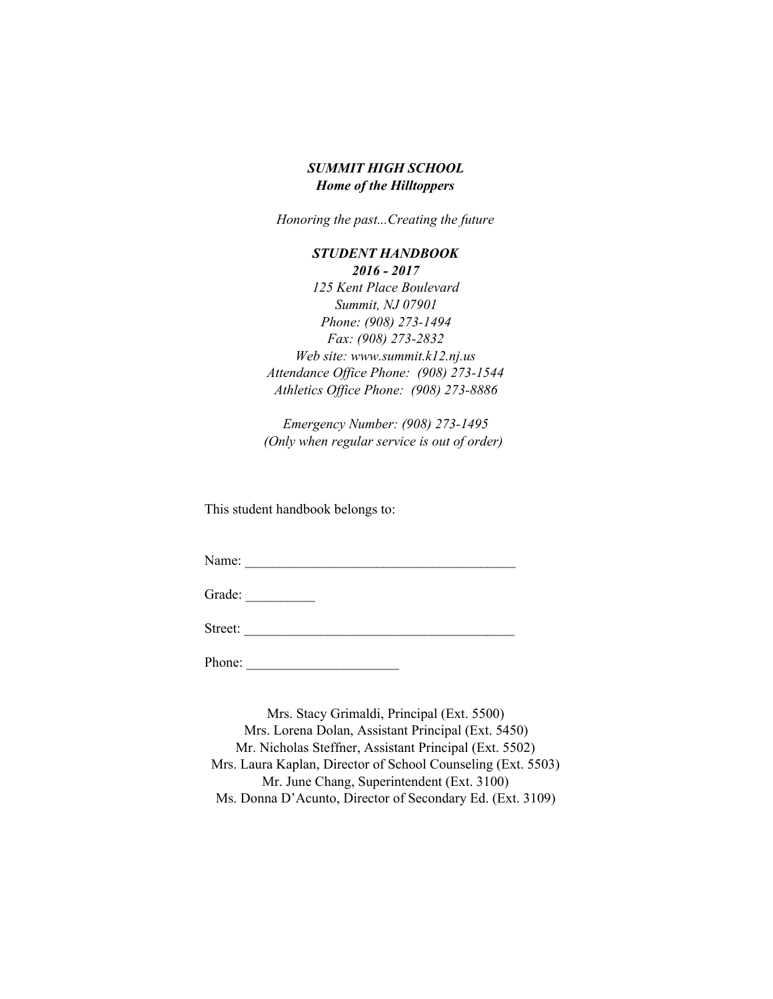# *SUMMIT HIGH SCHOOL Home of the Hilltoppers*

*Honoring the past...Creating the future*

# *STUDENT HANDBOOK 2016 2017 125 Kent Place Boulevard Summit, NJ 07901 Phone: (908) 273-1494 Fax:* (908) 273-2832 *Web site: www.summit.k12.nj.us* Attendance Office Phone: (908) 273-1544 *Athletics Office Phone: (908) 273-8886*

*Emergency Number: (908) 273-1495 (Only when regular service is out of order)*

This student handbook belongs to:

Name: \_\_\_\_\_\_\_\_\_\_\_\_\_\_\_\_\_\_\_\_\_\_\_\_\_\_\_\_\_\_\_\_\_\_\_\_\_\_\_

Grade:

Street: \_\_\_\_\_\_\_\_\_\_\_\_\_\_\_\_\_\_\_\_\_\_\_\_\_\_\_\_\_\_\_\_\_\_\_\_\_\_\_

Phone: \_\_\_\_\_\_\_\_\_\_\_\_\_\_\_\_\_\_\_\_\_\_

Mrs. Stacy Grimaldi, Principal (Ext. 5500) Mrs. Lorena Dolan, Assistant Principal (Ext. 5450) Mr. Nicholas Steffner, Assistant Principal (Ext. 5502) Mrs. Laura Kaplan, Director of School Counseling (Ext. 5503) Mr. June Chang, Superintendent (Ext. 3100) Ms. Donna D'Acunto, Director of Secondary Ed. (Ext. 3109)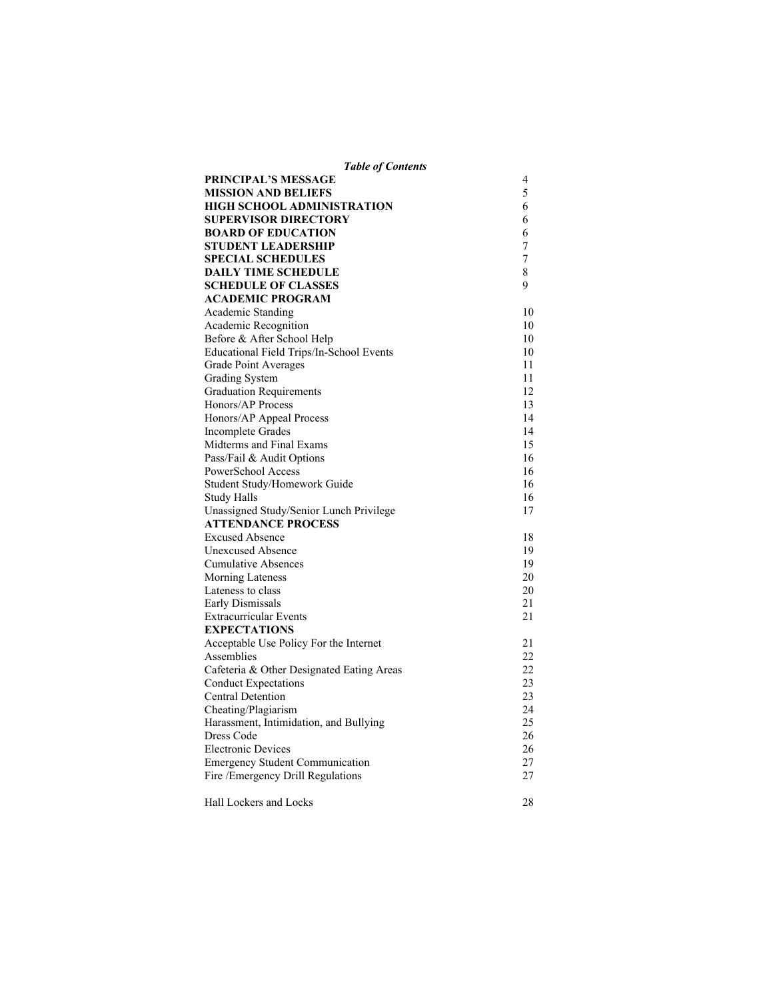| <b>Table of Contents</b> |
|--------------------------|
|--------------------------|

| PRINCIPAL'S MESSAGE                       | 4  |
|-------------------------------------------|----|
| <b>MISSION AND BELIEFS</b>                | 5  |
| HIGH SCHOOL ADMINISTRATION                | 6  |
| <b>SUPERVISOR DIRECTORY</b>               | 6  |
| <b>BOARD OF EDUCATION</b>                 | 6  |
| STUDENT LEADERSHIP                        | 7  |
| <b>SPECIAL SCHEDULES</b>                  | 7  |
| <b>DAILY TIME SCHEDULE</b>                | 8  |
| <b>SCHEDULE OF CLASSES</b>                | 9  |
| <b>ACADEMIC PROGRAM</b>                   |    |
| Academic Standing                         | 10 |
| Academic Recognition                      | 10 |
| Before & After School Help                | 10 |
| Educational Field Trips/In-School Events  | 10 |
| Grade Point Averages                      | 11 |
| <b>Grading System</b>                     | 11 |
| <b>Graduation Requirements</b>            | 12 |
| Honors/AP Process                         | 13 |
| Honors/AP Appeal Process                  | 14 |
| Incomplete Grades                         | 14 |
| Midterms and Final Exams                  | 15 |
| Pass/Fail & Audit Options                 | 16 |
| PowerSchool Access                        | 16 |
| Student Study/Homework Guide              | 16 |
| Study Halls                               | 16 |
| Unassigned Study/Senior Lunch Privilege   | 17 |
| <b>ATTENDANCE PROCESS</b>                 |    |
| <b>Excused Absence</b>                    | 18 |
| <b>Unexcused Absence</b>                  | 19 |
| <b>Cumulative Absences</b>                | 19 |
| <b>Morning Lateness</b>                   | 20 |
| Lateness to class                         | 20 |
| Early Dismissals                          | 21 |
| <b>Extracurricular Events</b>             | 21 |
| <b>EXPECTATIONS</b>                       |    |
| Acceptable Use Policy For the Internet    | 21 |
| Assemblies                                | 22 |
| Cafeteria & Other Designated Eating Areas | 22 |
| <b>Conduct Expectations</b>               | 23 |
| <b>Central Detention</b>                  | 23 |
| Cheating/Plagiarism                       | 24 |
| Harassment, Intimidation, and Bullying    | 25 |
| Dress Code                                | 26 |
| <b>Electronic Devices</b>                 | 26 |
| <b>Emergency Student Communication</b>    | 27 |
| Fire / Emergency Drill Regulations        | 27 |
| Hall Lockers and Locks                    | 28 |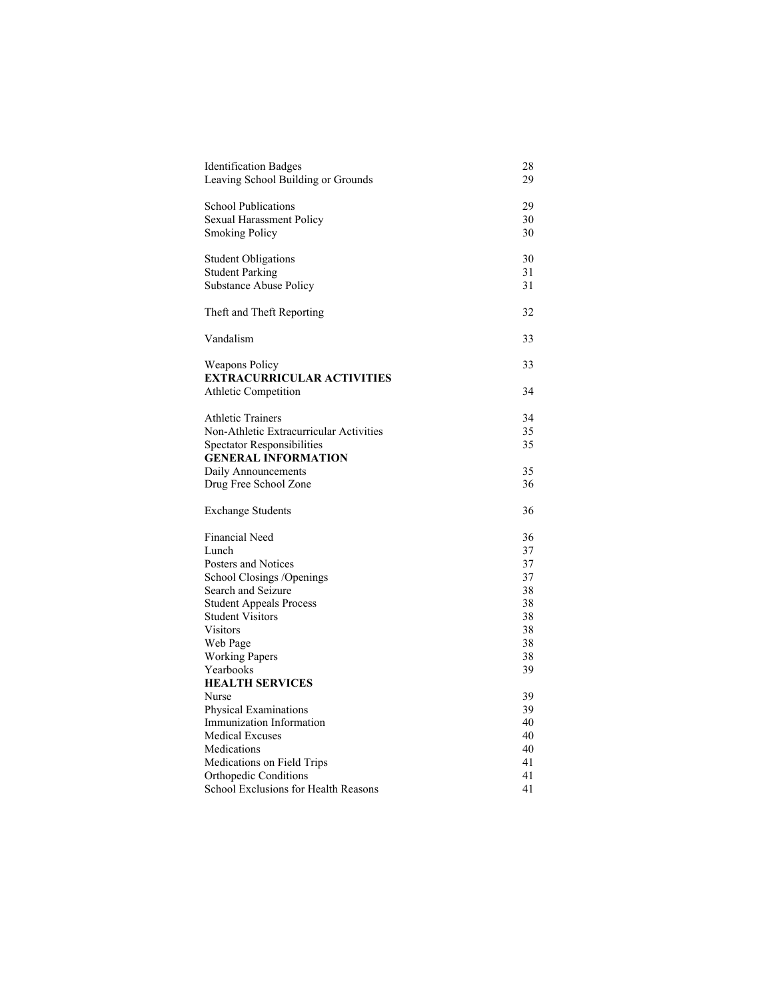| <b>Identification Badges</b><br>Leaving School Building or Grounds | 28<br>29 |
|--------------------------------------------------------------------|----------|
| <b>School Publications</b>                                         | 29       |
| Sexual Harassment Policy                                           | 30       |
| <b>Smoking Policy</b>                                              | 30       |
|                                                                    |          |
| <b>Student Obligations</b>                                         | 30       |
| <b>Student Parking</b>                                             | 31       |
| Substance Abuse Policy                                             | 31       |
|                                                                    |          |
| Theft and Theft Reporting                                          | 32       |
| Vandalism                                                          | 33       |
| <b>Weapons Policy</b>                                              | 33       |
| <b>EXTRACURRICULAR ACTIVITIES</b>                                  |          |
| Athletic Competition                                               | 34       |
|                                                                    |          |
| <b>Athletic Trainers</b>                                           | 34       |
| Non-Athletic Extracurricular Activities                            | 35       |
| <b>Spectator Responsibilities</b>                                  | 35       |
| <b>GENERAL INFORMATION</b>                                         |          |
| Daily Announcements                                                | 35       |
| Drug Free School Zone                                              | 36       |
| <b>Exchange Students</b>                                           | 36       |
| Financial Need                                                     | 36       |
| Lunch                                                              | 37       |
| Posters and Notices                                                | 37       |
| School Closings / Openings                                         | 37       |
| Search and Seizure                                                 | 38       |
| <b>Student Appeals Process</b>                                     | 38       |
| <b>Student Visitors</b>                                            | 38       |
| <b>Visitors</b>                                                    | 38       |
| Web Page                                                           | 38       |
| <b>Working Papers</b>                                              | 38       |
| Yearbooks                                                          | 39       |
| <b>HEALTH SERVICES</b>                                             |          |
| Nurse                                                              | 39       |
| <b>Physical Examinations</b>                                       | 39       |
| Immunization Information                                           | 40       |
| <b>Medical Excuses</b>                                             | 40       |
| Medications                                                        | 40       |
| Medications on Field Trips                                         | 41       |
| <b>Orthopedic Conditions</b>                                       | 41       |
| School Exclusions for Health Reasons                               | 41       |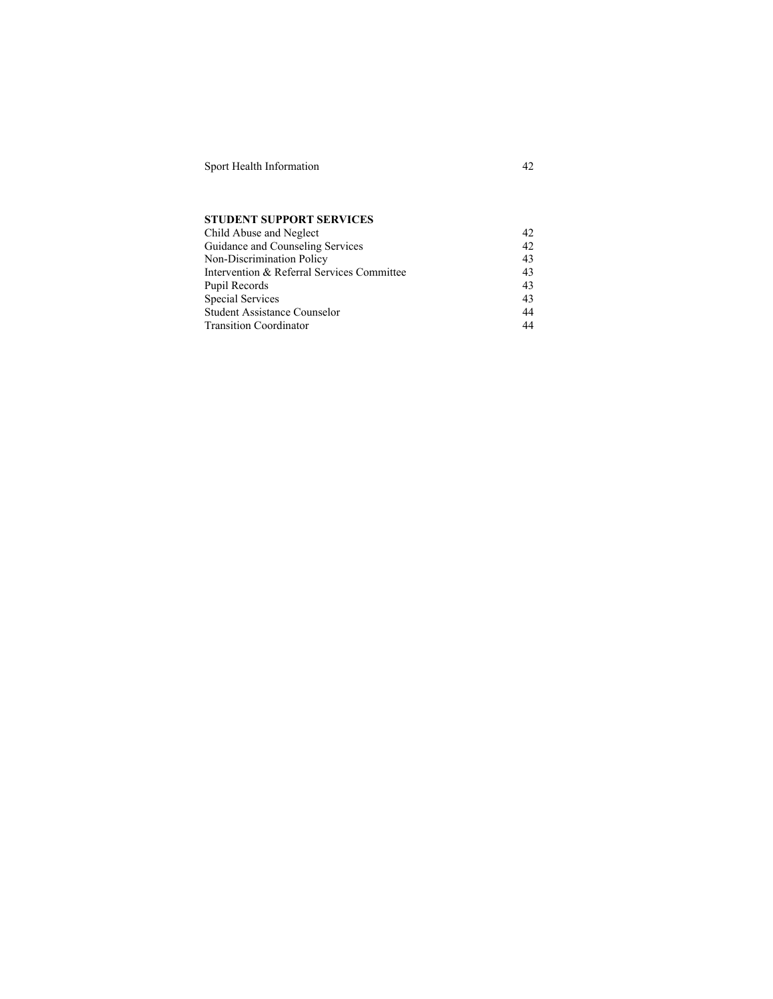Sport Health Information 42

# **STUDENT SUPPORT SERVICES**

| Child Abuse and Neglect                    | 42 |
|--------------------------------------------|----|
| Guidance and Counseling Services           | 42 |
| Non-Discrimination Policy                  | 43 |
| Intervention & Referral Services Committee | 43 |
| Pupil Records                              | 43 |
| <b>Special Services</b>                    | 43 |
| <b>Student Assistance Counselor</b>        | 44 |
| <b>Transition Coordinator</b>              | 44 |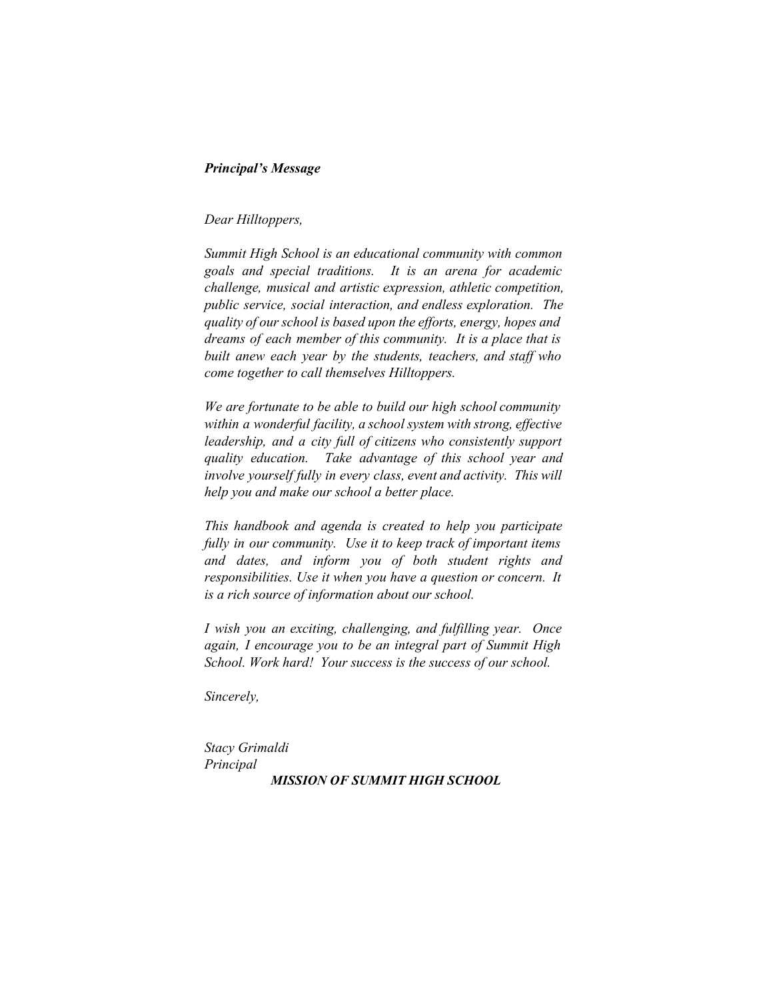# *Principal's Message*

# *Dear Hilltoppers,*

*Summit High School is an educational community with common goals and special traditions. It is an arena for academic challenge, musical and artistic expression, athletic competition, public service, social interaction, and endless exploration. The quality of our school is based upon the ef orts, energy, hopes and dreams of each member of this community. It is a place that is built anew each year by the students, teachers, and staff who come together to call themselves Hilltoppers.*

*We are fortunate to be able to build our high school community within a wonderful facility, a school system with strong, ef ective leadership, and a city full of citizens who consistently support quality education. Take advantage of this school year and involve yourself fully in every class, event and activity. This will help you and make our school a better place.*

*This handbook and agenda is created to help you participate fully in our community. Use it to keep track of important items and dates, and inform you of both student rights and responsibilities. Use it when you have a question or concern. It is a rich source of information about our school.*

*I wish you an exciting, challenging, and fulfilling year. Once again, I encourage you to be an integral part of Summit High School. Work hard! Your success is the success of our school.*

*Sincerely,*

*Stacy Grimaldi Principal MISSION OF SUMMIT HIGH SCHOOL*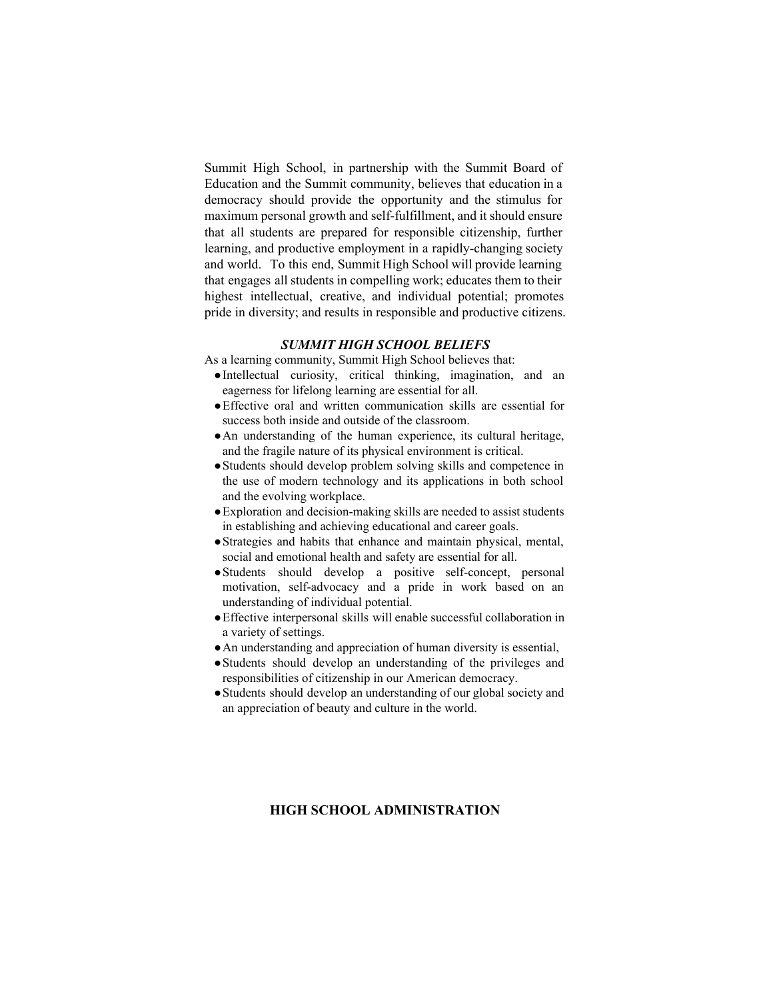Summit High School, in partnership with the Summit Board of Education and the Summit community, believes that education in a democracy should provide the opportunity and the stimulus for maximum personal growth and self-fulfillment, and it should ensure that all students are prepared for responsible citizenship, further learning, and productive employment in a rapidly-changing society and world. To this end, Summit High School will provide learning that engages all students in compelling work; educates them to their highest intellectual, creative, and individual potential; promotes pride in diversity; and results in responsible and productive citizens.

# *SUMMIT HIGH SCHOOL BELIEFS*

As a learning community, Summit High School believes that:

- ●Intellectual curiosity, critical thinking, imagination, and an eagerness for lifelong learning are essential for all.
- ●Effective oral and written communication skills are essential for success both inside and outside of the classroom.
- ●An understanding of the human experience, its cultural heritage, and the fragile nature of its physical environment is critical.
- ●Students should develop problem solving skills and competence in the use of modern technology and its applications in both school and the evolving workplace.
- $\bullet$  Exploration and decision-making skills are needed to assist students in establishing and achieving educational and career goals.
- ●Strategies and habits that enhance and maintain physical, mental, social and emotional health and safety are essential for all.
- $\bullet$  Students should develop a positive self-concept, personal motivation, self-advocacy and a pride in work based on an understanding of individual potential.
- ●Effective interpersonal skills will enable successful collaboration in a variety of settings.
- ●An understanding and appreciation of human diversity is essential,
- ●Students should develop an understanding of the privileges and responsibilities of citizenship in our American democracy.
- ●Students should develop an understanding of our global society and an appreciation of beauty and culture in the world.

# **HIGH SCHOOL ADMINISTRATION**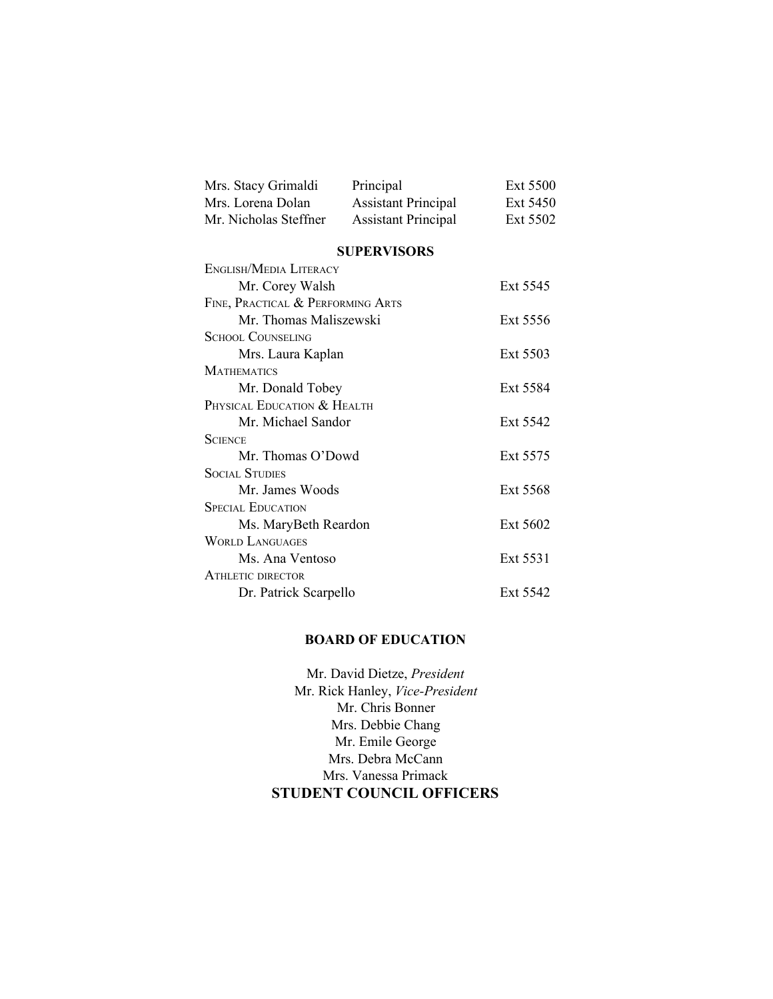| Mrs. Stacy Grimaldi   | Principal                  | Ext 5500 |
|-----------------------|----------------------------|----------|
| Mrs. Lorena Dolan     | <b>Assistant Principal</b> | Ext 5450 |
| Mr. Nicholas Steffner | <b>Assistant Principal</b> | Ext 5502 |

# **SUPERVISORS**

| ENGLISH/MEDIA LITERACY            |          |
|-----------------------------------|----------|
| Mr. Corey Walsh                   | Ext 5545 |
| FINE, PRACTICAL & PERFORMING ARTS |          |
| Mr. Thomas Maliszewski            | Ext 5556 |
| SCHOOL COUNSELING                 |          |
| Mrs. Laura Kaplan                 | Ext 5503 |
| <b>MATHEMATICS</b>                |          |
| Mr. Donald Tobey                  | Ext 5584 |
| PHYSICAL EDUCATION & HEALTH       |          |
| Mr. Michael Sandor                | Ext 5542 |
| <b>SCIENCE</b>                    |          |
| Mr. Thomas O'Dowd                 | Ext 5575 |
| Social Studies                    |          |
| Mr. James Woods                   | Ext 5568 |
| SPECIAL EDUCATION                 |          |
| Ms. MaryBeth Reardon              | Ext 5602 |
| <b>WORLD LANGUAGES</b>            |          |
| Ms. Ana Ventoso                   | Ext 5531 |
| ATHLETIC DIRECTOR                 |          |
| Dr. Patrick Scarpello             | Ext 5542 |

# **BOARD OF EDUCATION**

Mr. David Dietze, *President* Mr. Rick Hanley, Vice-President Mr. Chris Bonner Mrs. Debbie Chang Mr. Emile George Mrs. Debra McCann Mrs. Vanessa Primack **STUDENT COUNCIL OFFICERS**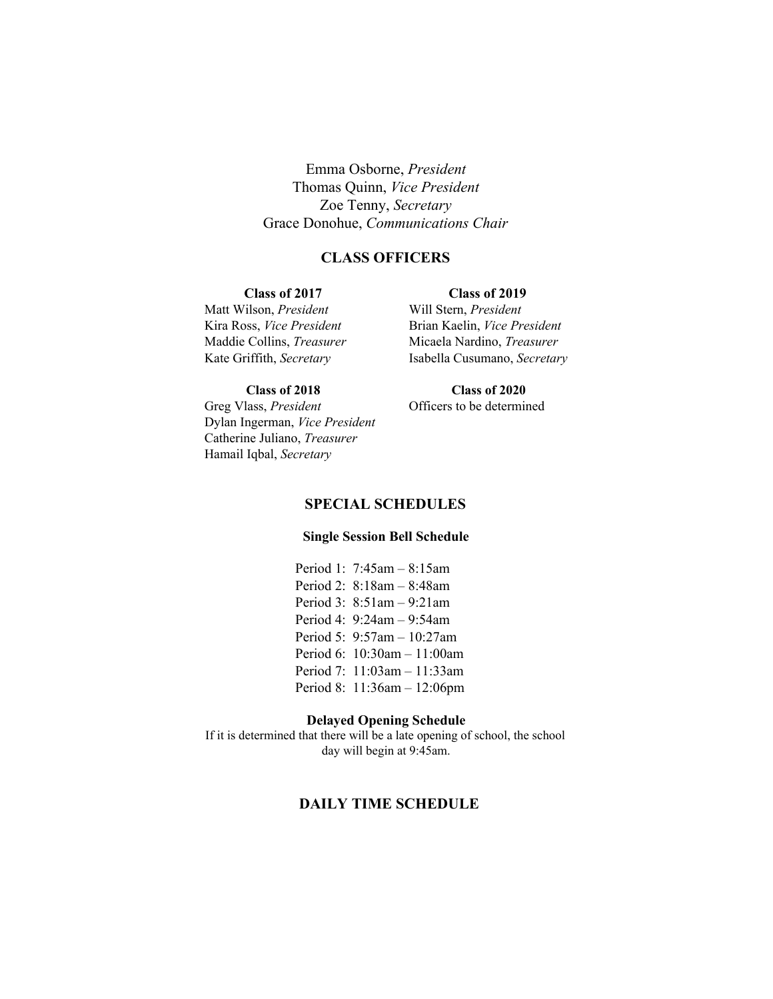Emma Osborne, *President* Thomas Quinn, *Vice President* Zoe Tenny, *Secretary* Grace Donohue, *Communications Chair*

# **CLASS OFFICERS**

#### **Class of 2017 Class of 2019**

Matt Wilson, *President* Will Stern, *President*

Kira Ross, *Vice President* Brian Kaelin, *Vice President* Maddie Collins, *Treasurer* Micaela Nardino, *Treasurer* Kate Griffith, *Secretary* Isabella Cusumano, *Secretary*

Greg Vlass, *President* **Officers** to be determined Dylan Ingerman, *Vice President* Catherine Juliano, *Treasurer* Hamail Iqbal, *Secretary*

**Class of 2018 Class of 2020**

# **SPECIAL SCHEDULES**

# **Single Session Bell Schedule**

Period 1: 7:45am – 8:15am Period 2: 8:18am – 8:48am Period 3: 8:51am – 9:21am Period 4: 9:24am – 9:54am Period 5: 9:57am – 10:27am Period 6: 10:30am – 11:00am Period 7: 11:03am – 11:33am Period 8: 11:36am – 12:06pm

# **Delayed Opening Schedule**

If it is determined that there will be a late opening of school, the school day will begin at 9:45am.

# **DAILY TIME SCHEDULE**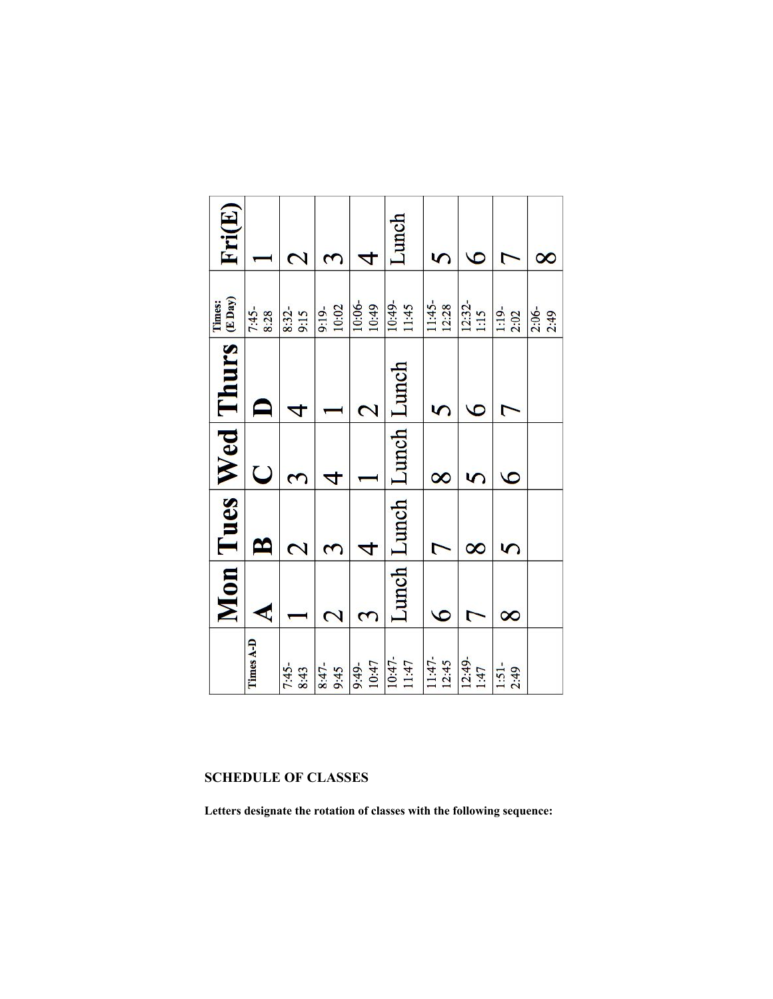| Fri(E)                                 |                 | 2                       | 3                       | 4                       | Lunch                   | 5                     | 6                | ᡕ                  | ∝               |
|----------------------------------------|-----------------|-------------------------|-------------------------|-------------------------|-------------------------|-----------------------|------------------|--------------------|-----------------|
| Times:                                 | $7:45-$<br>8:28 | 8:32-<br>9:15           | $9:19-$<br>10:02        | 10:06-<br>10:49         | 10:49-<br>11:45         | 11:45-                | $12:32-$<br>1:15 | $1:19-2:02$        | $2:06-$<br>2:49 |
| Mon Tues Wed Thurs $\lim_{x\to\infty}$ |                 | 4                       |                         | $\overline{\mathbf{C}}$ |                         |                       | $\overline{c}$   | ┍                  |                 |
|                                        | $\cup$          | 3                       | 4                       |                         |                         | $\infty$              | 5                | $\overline{6}$     |                 |
|                                        | ≃               | $\overline{\mathbf{C}}$ | 3                       | 4                       | Lunch Lunch Lunch Lunch |                       | $\infty$         | 5                  |                 |
|                                        | €               |                         | $\overline{\mathbf{c}}$ | 3                       |                         | $\bullet$             | 7                | $\infty$           |                 |
|                                        | Times A-D       | 7:45-<br>8:43           | 8:47-<br>9:45           | $9:49-10:47$            | 10:47-<br>11:47         | $\frac{11:47}{12:45}$ | $12:49-$<br>1:47 | $1:51$ -<br>$2:49$ |                 |

# **SCHEDULE OF CLASSES**

**Letters designate the rotation of classes with the following sequence:**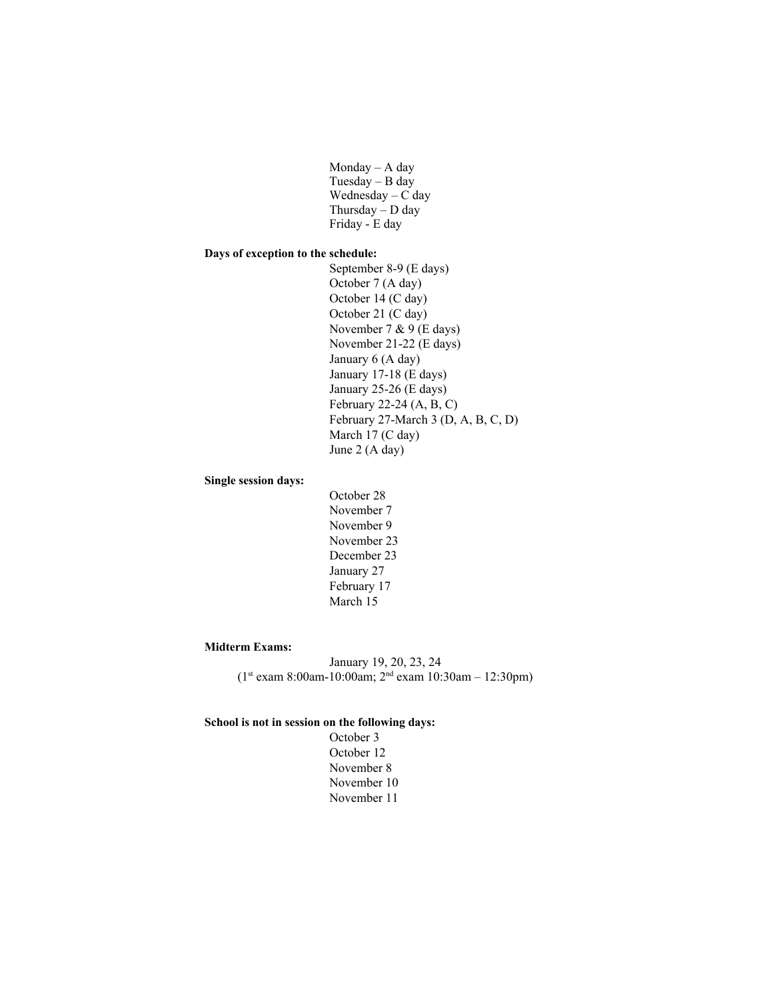Monday – A day Tuesday – B day Wednesday – C day Thursday  $-$  D day Friday - E day

# **Days of exception to the schedule:**

September 8-9 (E days) October 7 (A day) October 14 (C day) October 21 (C day) November 7 & 9 (E days) November 21-22 (E days) January 6 (A day) January 17-18 (E days) January 25-26 (E days) February 22-24  $(A, B, C)$ February 27-March 3 (D, A, B, C, D) March 17 (C day) June 2 (A day)

# **Single session days:**

October 28 November 7 November 9 November 23 December 23 January 27 February 17 March 15

# **Midterm Exams:**

January 19, 20, 23, 24  $(1<sup>st</sup> exam 8:00am-10:00am; 2<sup>nd</sup> exam 10:30am-12:30pm)$ 

## **School is not in session on the following days:**

October 3 October 12 November 8 November 10 November 11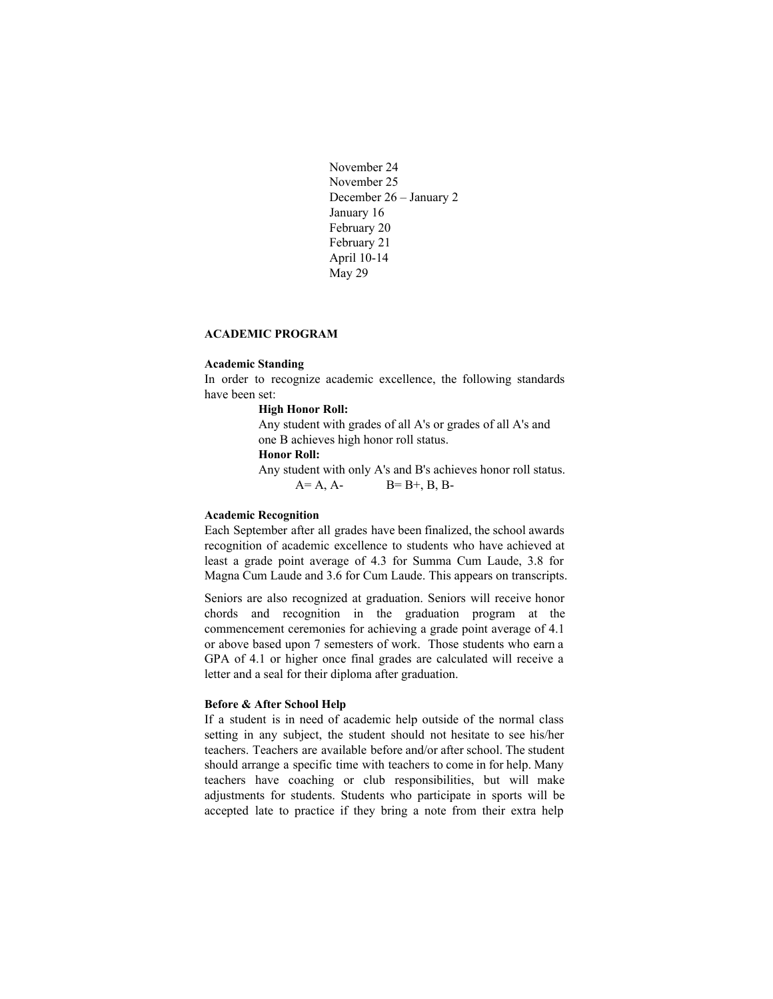```
November 24
November 25
December 26 – January 2
January 16
February 20
February 21
April 10-14
May 29
```
# **ACADEMIC PROGRAM**

#### **Academic Standing**

In order to recognize academic excellence, the following standards have been set:

#### **High Honor Roll:**

Any student with grades of all A's or grades of all A's and one B achieves high honor roll status.

# **Honor Roll:**

Any student with only A's and B's achieves honor roll status.  $A = A$ ,  $A$ -  $B = B + B$ ,  $B$ ,  $B$ -

# **Academic Recognition**

Each September after all grades have been finalized, the school awards recognition of academic excellence to students who have achieved at least a grade point average of 4.3 for Summa Cum Laude, 3.8 for Magna Cum Laude and 3.6 for Cum Laude. This appears on transcripts.

Seniors are also recognized at graduation. Seniors will receive honor chords and recognition in the graduation program at the commencement ceremonies for achieving a grade point average of 4.1 or above based upon 7 semesters of work. Those students who earn a GPA of 4.1 or higher once final grades are calculated will receive a letter and a seal for their diploma after graduation.

#### **Before & After School Help**

If a student is in need of academic help outside of the normal class setting in any subject, the student should not hesitate to see his/her teachers. Teachers are available before and/or after school. The student should arrange a specific time with teachers to come in for help. Many teachers have coaching or club responsibilities, but will make adjustments for students. Students who participate in sports will be accepted late to practice if they bring a note from their extra help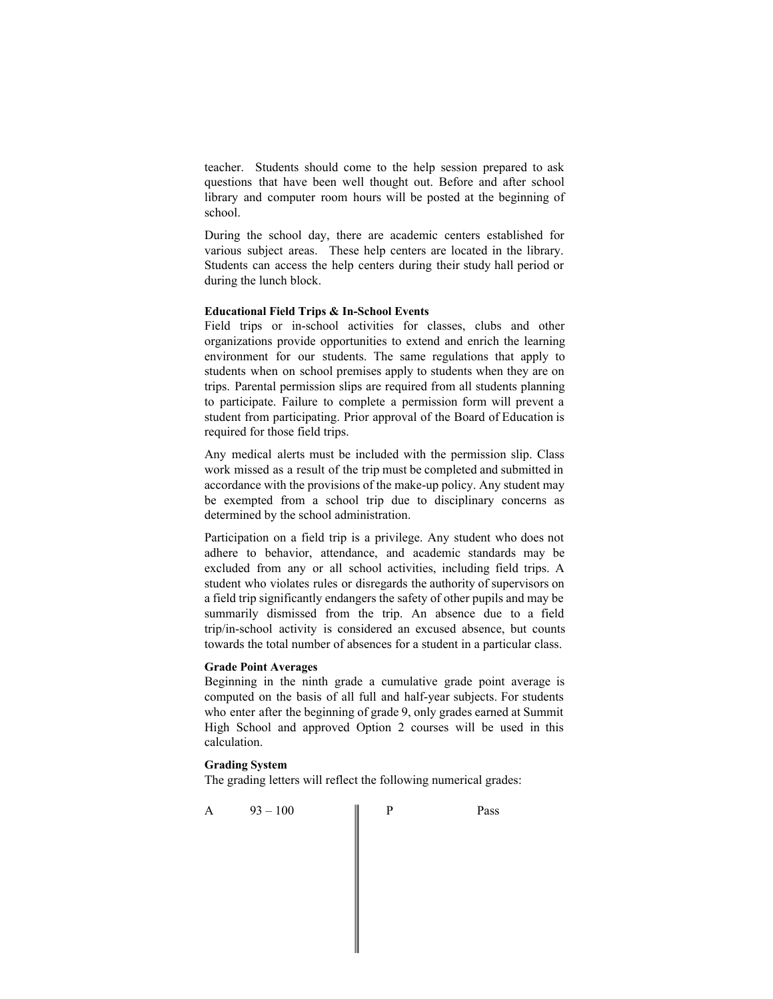teacher. Students should come to the help session prepared to ask questions that have been well thought out. Before and after school library and computer room hours will be posted at the beginning of school.

During the school day, there are academic centers established for various subject areas. These help centers are located in the library. Students can access the help centers during their study hall period or during the lunch block.

# **Educational Field Trips & In-School Events**

Field trips or in-school activities for classes, clubs and other organizations provide opportunities to extend and enrich the learning environment for our students. The same regulations that apply to students when on school premises apply to students when they are on trips. Parental permission slips are required from all students planning to participate. Failure to complete a permission form will prevent a student from participating. Prior approval of the Board of Education is required for those field trips.

Any medical alerts must be included with the permission slip. Class work missed as a result of the trip must be completed and submitted in accordance with the provisions of the make-up policy. Any student may be exempted from a school trip due to disciplinary concerns as determined by the school administration.

Participation on a field trip is a privilege. Any student who does not adhere to behavior, attendance, and academic standards may be excluded from any or all school activities, including field trips. A student who violates rules or disregards the authority of supervisors on a field trip significantly endangers the safety of other pupils and may be summarily dismissed from the trip. An absence due to a field trip/in-school activity is considered an excused absence, but counts towards the total number of absences for a student in a particular class.

## **Grade Point Averages**

Beginning in the ninth grade a cumulative grade point average is computed on the basis of all full and half-year subjects. For students who enter after the beginning of grade 9, only grades earned at Summit High School and approved Option 2 courses will be used in this calculation.

#### **Grading System**

The grading letters will reflect the following numerical grades:

A 93-100 || P Pass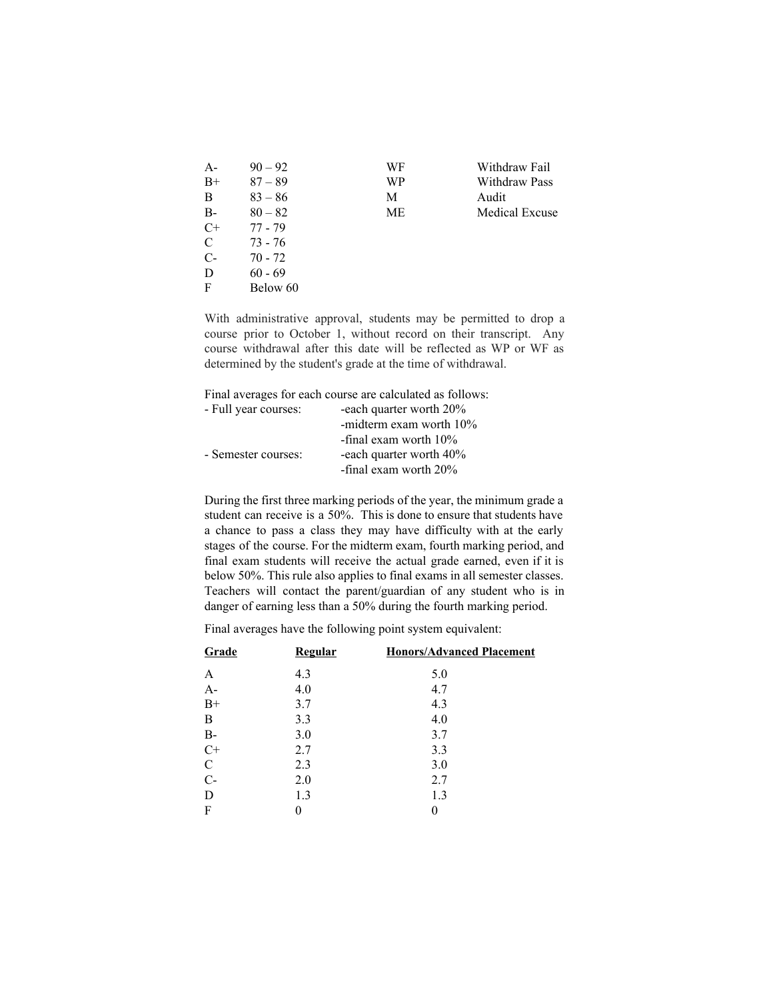| $90 - 92$ | WF | Withdraw Fail        |
|-----------|----|----------------------|
| $87 - 89$ | WP | <b>Withdraw Pass</b> |
| $83 - 86$ | М  | Audit                |
| $80 - 82$ | МE | Medical Excuse       |
| $77 - 79$ |    |                      |
| $73 - 76$ |    |                      |
| $70 - 72$ |    |                      |
| $60 - 69$ |    |                      |
| Below 60  |    |                      |
|           |    |                      |

With administrative approval, students may be permitted to drop a course prior to October 1, without record on their transcript. Any course withdrawal after this date will be reflected as WP or WF as determined by the student's grade at the time of withdrawal.

Final averages for each course are calculated as follows:

| - Full year courses: | -each quarter worth 20%  |
|----------------------|--------------------------|
|                      | -midterm exam worth 10%  |
|                      | -final exam worth $10\%$ |
| - Semester courses:  | -each quarter worth 40%  |
|                      | -final exam worth $20\%$ |

During the first three marking periods of the year, the minimum grade a student can receive is a 50%. This is done to ensure that students have a chance to pass a class they may have difficulty with at the early stages of the course. For the midterm exam, fourth marking period, and final exam students will receive the actual grade earned, even if it is below 50%. This rule also applies to final exams in all semester classes. Teachers will contact the parent/guardian of any student who is in danger of earning less than a 50% during the fourth marking period.

Final averages have the following point system equivalent:

| Grade          | <b>Regular</b> | <b>Honors/Advanced Placement</b> |
|----------------|----------------|----------------------------------|
| A              | 4.3            | 5.0                              |
| $A-$           | 4.0            | 4.7                              |
| $B+$           | 3.7            | 4.3                              |
| B              | 3.3            | 4.0                              |
| <b>B-</b>      | 3.0            | 3.7                              |
| $\overline{C}$ | 2.7            | 3.3                              |
| $\mathcal{C}$  | 2.3            | 3.0                              |
| $C-$           | 2.0            | 2.7                              |
| D              | 1.3            | 1.3                              |
| F              |                | 0                                |
|                |                |                                  |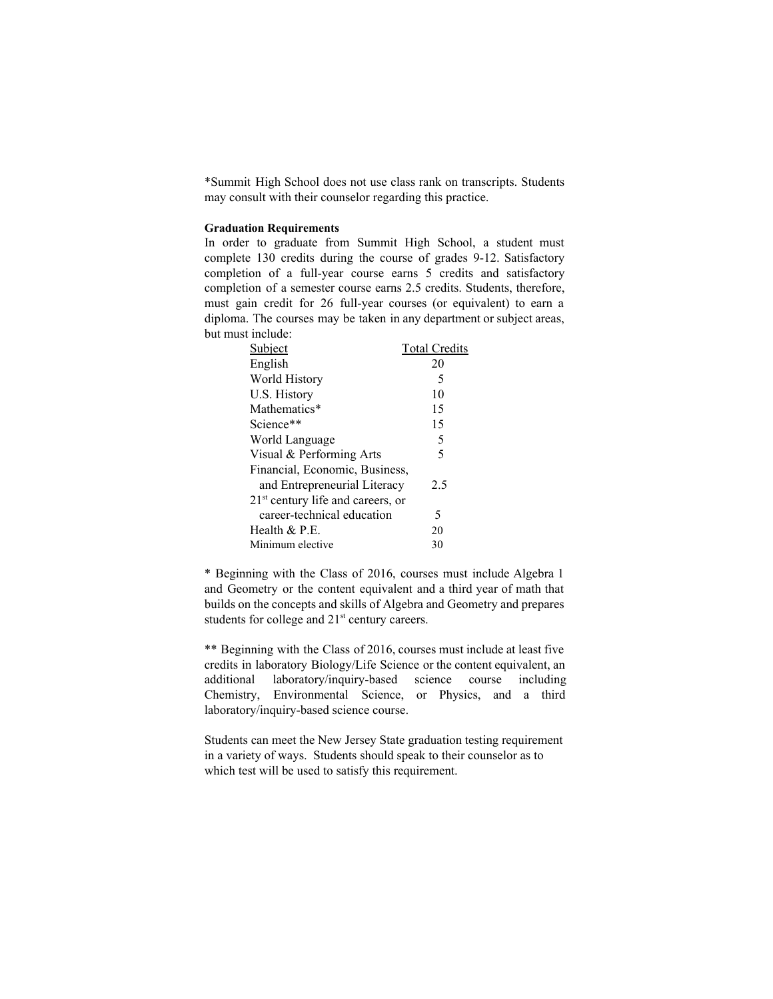\*Summit High School does not use class rank on transcripts. Students may consult with their counselor regarding this practice.

# **Graduation Requirements**

In order to graduate from Summit High School, a student must complete 130 credits during the course of grades 9-12. Satisfactory completion of a full-year course earns 5 credits and satisfactory completion of a semester course earns 2.5 credits. Students, therefore, must gain credit for 26 full-year courses (or equivalent) to earn a diploma. The courses may be taken in any department or subject areas, but must include:

| Subject                             | <b>Total Credits</b> |
|-------------------------------------|----------------------|
| English                             | 20                   |
| World History                       | 5                    |
| U.S. History                        | 10                   |
| Mathematics*                        | 15                   |
| Science**                           | 15                   |
| World Language                      | 5                    |
| Visual & Performing Arts            | 5                    |
| Financial, Economic, Business,      |                      |
| and Entrepreneurial Literacy        | 2.5                  |
| $21st$ century life and careers, or |                      |
| career-technical education          | 5                    |
| Health $&$ P.E.                     | 20                   |
| Minimum elective                    | 30                   |

\* Beginning with the Class of 2016, courses must include Algebra 1 and Geometry or the content equivalent and a third year of math that builds on the concepts and skills of Algebra and Geometry and prepares students for college and 21<sup>st</sup> century careers.

\*\* Beginning with the Class of 2016, courses must include at least five credits in laboratory Biology/Life Science or the content equivalent, an additional laboratory/inquiry-based science course including Chemistry, Environmental Science, or Physics, and a third laboratory/inquiry-based science course.

Students can meet the New Jersey State graduation testing requirement in a variety of ways. Students should speak to their counselor as to which test will be used to satisfy this requirement.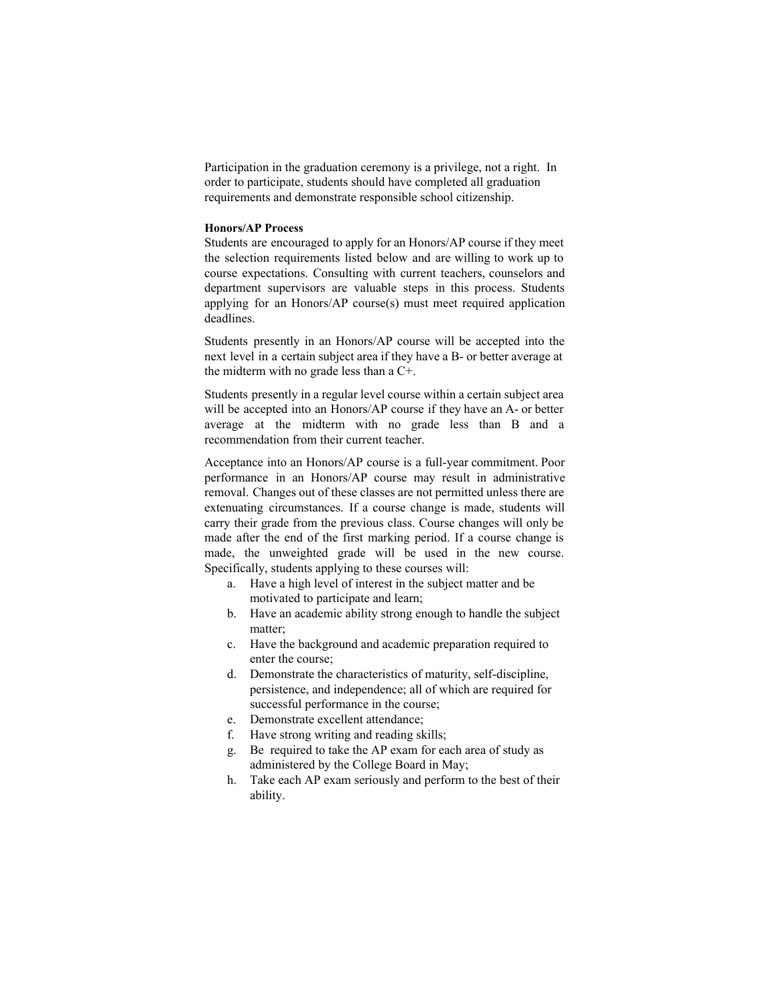Participation in the graduation ceremony is a privilege, not a right. In order to participate, students should have completed all graduation requirements and demonstrate responsible school citizenship.

# **Honors/AP Process**

Students are encouraged to apply for an Honors/AP course if they meet the selection requirements listed below and are willing to work up to course expectations. Consulting with current teachers, counselors and department supervisors are valuable steps in this process. Students applying for an Honors/AP course(s) must meet required application deadlines.

Students presently in an Honors/AP course will be accepted into the next level in a certain subject area if they have a B- or better average at the midterm with no grade less than a C+.

Students presently in a regular level course within a certain subject area will be accepted into an Honors/AP course if they have an A- or better average at the midterm with no grade less than B and a recommendation from their current teacher.

Acceptance into an Honors/AP course is a full-year commitment. Poor performance in an Honors/AP course may result in administrative removal. Changes out of these classes are not permitted unless there are extenuating circumstances. If a course change is made, students will carry their grade from the previous class. Course changes will only be made after the end of the first marking period. If a course change is made, the unweighted grade will be used in the new course. Specifically, students applying to these courses will:

- a. Have a high level of interest in the subject matter and be motivated to participate and learn;
- b. Have an academic ability strong enough to handle the subject matter;
- c. Have the background and academic preparation required to enter the course;
- d. Demonstrate the characteristics of maturity, self-discipline, persistence, and independence; all of which are required for successful performance in the course;
- e. Demonstrate excellent attendance;
- f. Have strong writing and reading skills;
- g. Be required to take the AP exam for each area of study as administered by the College Board in May;
- h. Take each AP exam seriously and perform to the best of their ability.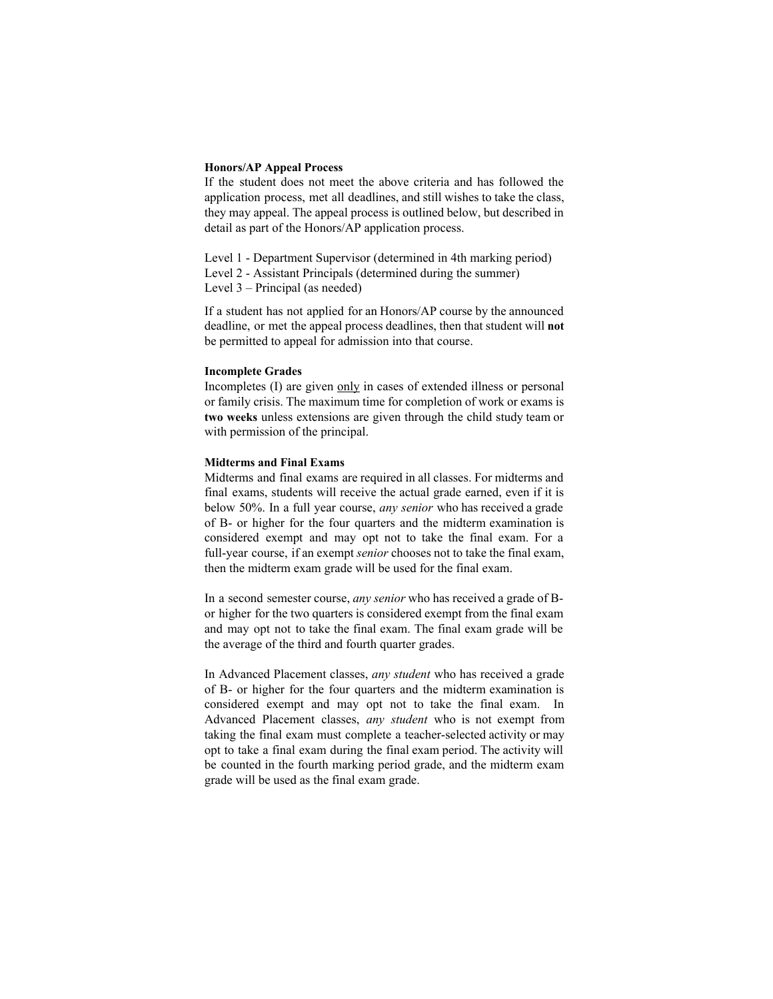#### **Honors/AP Appeal Process**

If the student does not meet the above criteria and has followed the application process, met all deadlines, and still wishes to take the class, they may appeal. The appeal process is outlined below, but described in detail as part of the Honors/AP application process.

Level 1 - Department Supervisor (determined in 4th marking period) Level 2 - Assistant Principals (determined during the summer) Level 3 – Principal (as needed)

If a student has not applied for an Honors/AP course by the announced deadline, or met the appeal process deadlines, then that student will **not** be permitted to appeal for admission into that course.

#### **Incomplete Grades**

Incompletes (I) are given only in cases of extended illness or personal or family crisis. The maximum time for completion of work or exams is **two weeks** unless extensions are given through the child study team or with permission of the principal.

#### **Midterms and Final Exams**

Midterms and final exams are required in all classes. For midterms and final exams, students will receive the actual grade earned, even if it is below 50%. In a full year course, *any senior* who has received a grade of B- or higher for the four quarters and the midterm examination is considered exempt and may opt not to take the final exam. For a full-year course, if an exempt *senior* chooses not to take the final exam, then the midterm exam grade will be used for the final exam.

In a second semester course, *any senior* who has received a grade of Bor higher for the two quarters is considered exempt from the final exam and may opt not to take the final exam. The final exam grade will be the average of the third and fourth quarter grades.

In Advanced Placement classes, *any student* who has received a grade of B- or higher for the four quarters and the midterm examination is considered exempt and may opt not to take the final exam. In Advanced Placement classes, *any student* who is not exempt from taking the final exam must complete a teacher-selected activity or may opt to take a final exam during the final exam period. The activity will be counted in the fourth marking period grade, and the midterm exam grade will be used as the final exam grade.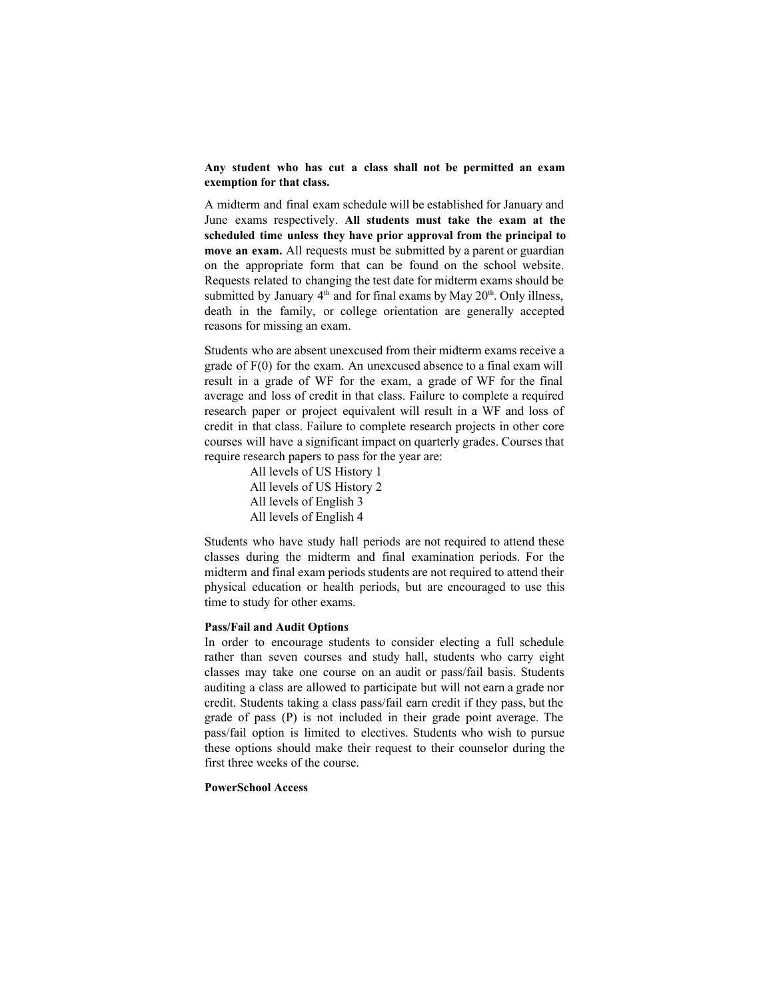**Any student who has cut a class shall not be permitted an exam exemption for that class.**

A midterm and final exam schedule will be established for January and June exams respectively. **All students must take the exam at the scheduled time unless they have prior approval from the principal to move an exam.** All requests must be submitted by a parent or guardian on the appropriate form that can be found on the school website. Requests related to changing the test date for midterm exams should be submitted by January  $4<sup>th</sup>$  and for final exams by May  $20<sup>th</sup>$ . Only illness, death in the family, or college orientation are generally accepted reasons for missing an exam.

Students who are absent unexcused from their midterm exams receive a grade of F(0) for the exam. An unexcused absence to a final exam will result in a grade of WF for the exam, a grade of WF for the final average and loss of credit in that class. Failure to complete a required research paper or project equivalent will result in a WF and loss of credit in that class. Failure to complete research projects in other core courses will have a significant impact on quarterly grades. Courses that require research papers to pass for the year are:

> All levels of US History 1 All levels of US History 2 All levels of English 3 All levels of English 4

Students who have study hall periods are not required to attend these classes during the midterm and final examination periods. For the midterm and final exam periods students are not required to attend their physical education or health periods, but are encouraged to use this time to study for other exams.

# **Pass/Fail and Audit Options**

In order to encourage students to consider electing a full schedule rather than seven courses and study hall, students who carry eight classes may take one course on an audit or pass/fail basis. Students auditing a class are allowed to participate but will not earn a grade nor credit. Students taking a class pass/fail earn credit if they pass, but the grade of pass (P) is not included in their grade point average. The pass/fail option is limited to electives. Students who wish to pursue these options should make their request to their counselor during the first three weeks of the course.

## **PowerSchool Access**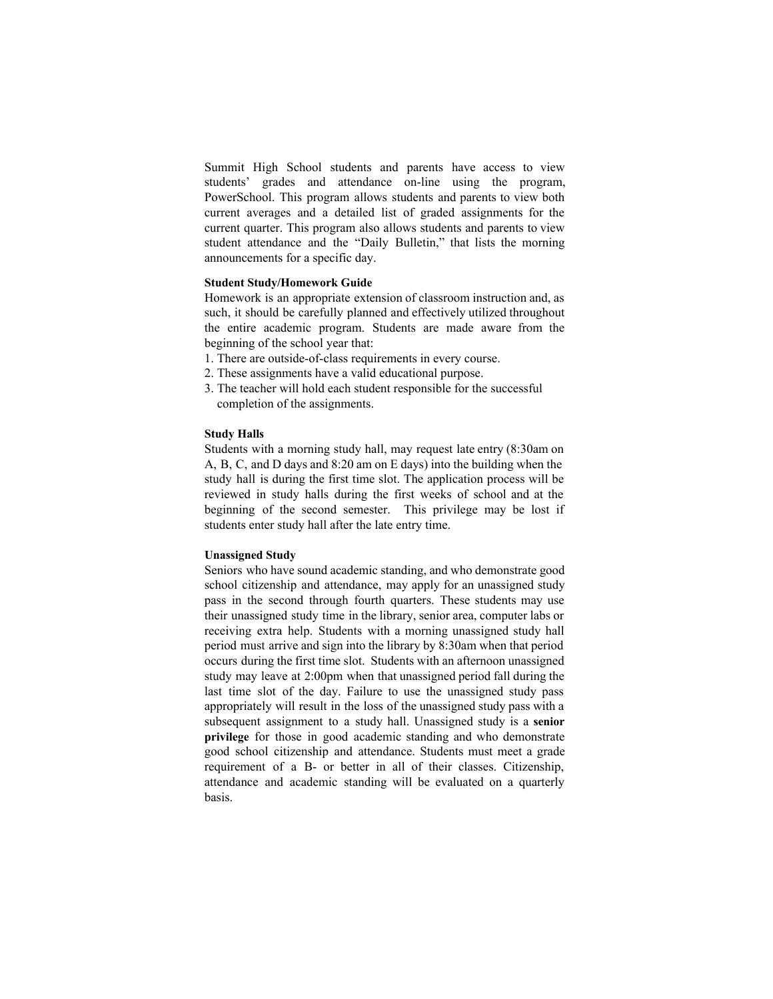Summit High School students and parents have access to view students' grades and attendance on-line using the program, PowerSchool. This program allows students and parents to view both current averages and a detailed list of graded assignments for the current quarter. This program also allows students and parents to view student attendance and the "Daily Bulletin," that lists the morning announcements for a specific day.

#### **Student Study/Homework Guide**

Homework is an appropriate extension of classroom instruction and, as such, it should be carefully planned and effectively utilized throughout the entire academic program. Students are made aware from the beginning of the school year that:

- 1. There are outside-of-class requirements in every course.
- 2. These assignments have a valid educational purpose.
- 3. The teacher will hold each student responsible for the successful completion of the assignments.

#### **Study Halls**

Students with a morning study hall, may request late entry (8:30am on A, B, C, and D days and 8:20 am on E days) into the building when the study hall is during the first time slot. The application process will be reviewed in study halls during the first weeks of school and at the beginning of the second semester. This privilege may be lost if students enter study hall after the late entry time.

## **Unassigned Study**

Seniors who have sound academic standing, and who demonstrate good school citizenship and attendance, may apply for an unassigned study pass in the second through fourth quarters. These students may use their unassigned study time in the library, senior area, computer labs or receiving extra help. Students with a morning unassigned study hall period must arrive and sign into the library by 8:30am when that period occurs during the first time slot. Students with an afternoon unassigned study may leave at 2:00pm when that unassigned period fall during the last time slot of the day. Failure to use the unassigned study pass appropriately will result in the loss of the unassigned study pass with a subsequent assignment to a study hall. Unassigned study is a **senior privilege** for those in good academic standing and who demonstrate good school citizenship and attendance. Students must meet a grade requirement of a B- or better in all of their classes. Citizenship, attendance and academic standing will be evaluated on a quarterly basis.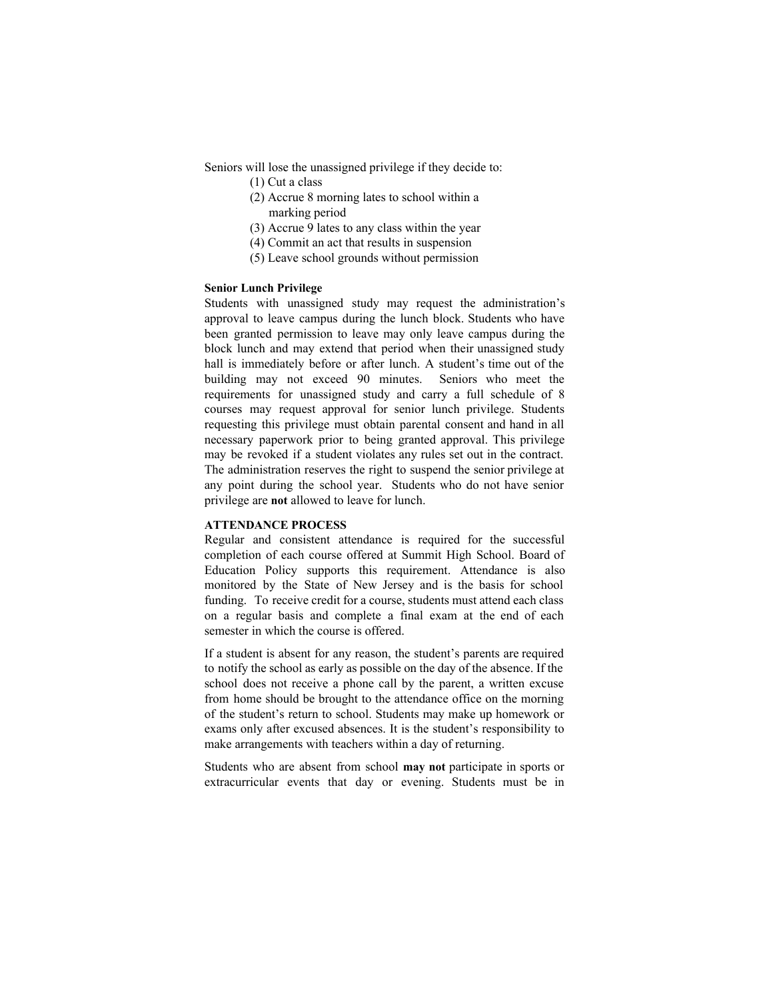Seniors will lose the unassigned privilege if they decide to:

- (1) Cut a class
- (2) Accrue 8 morning lates to school within a marking period
- (3) Accrue 9 lates to any class within the year
- (4) Commit an act that results in suspension
- (5) Leave school grounds without permission

# **Senior Lunch Privilege**

Students with unassigned study may request the administration's approval to leave campus during the lunch block. Students who have been granted permission to leave may only leave campus during the block lunch and may extend that period when their unassigned study hall is immediately before or after lunch. A student's time out of the building may not exceed 90 minutes. Seniors who meet the requirements for unassigned study and carry a full schedule of 8 courses may request approval for senior lunch privilege. Students requesting this privilege must obtain parental consent and hand in all necessary paperwork prior to being granted approval. This privilege may be revoked if a student violates any rules set out in the contract. The administration reserves the right to suspend the senior privilege at any point during the school year. Students who do not have senior privilege are **not** allowed to leave for lunch.

#### **ATTENDANCE PROCESS**

Regular and consistent attendance is required for the successful completion of each course offered at Summit High School. Board of Education Policy supports this requirement. Attendance is also monitored by the State of New Jersey and is the basis for school funding. To receive credit for a course, students must attend each class on a regular basis and complete a final exam at the end of each semester in which the course is offered.

If a student is absent for any reason, the student's parents are required to notify the school as early as possible on the day of the absence. If the school does not receive a phone call by the parent, a written excuse from home should be brought to the attendance office on the morning of the student's return to school. Students may make up homework or exams only after excused absences. It is the student's responsibility to make arrangements with teachers within a day of returning.

Students who are absent from school **may not** participate in sports or extracurricular events that day or evening. Students must be in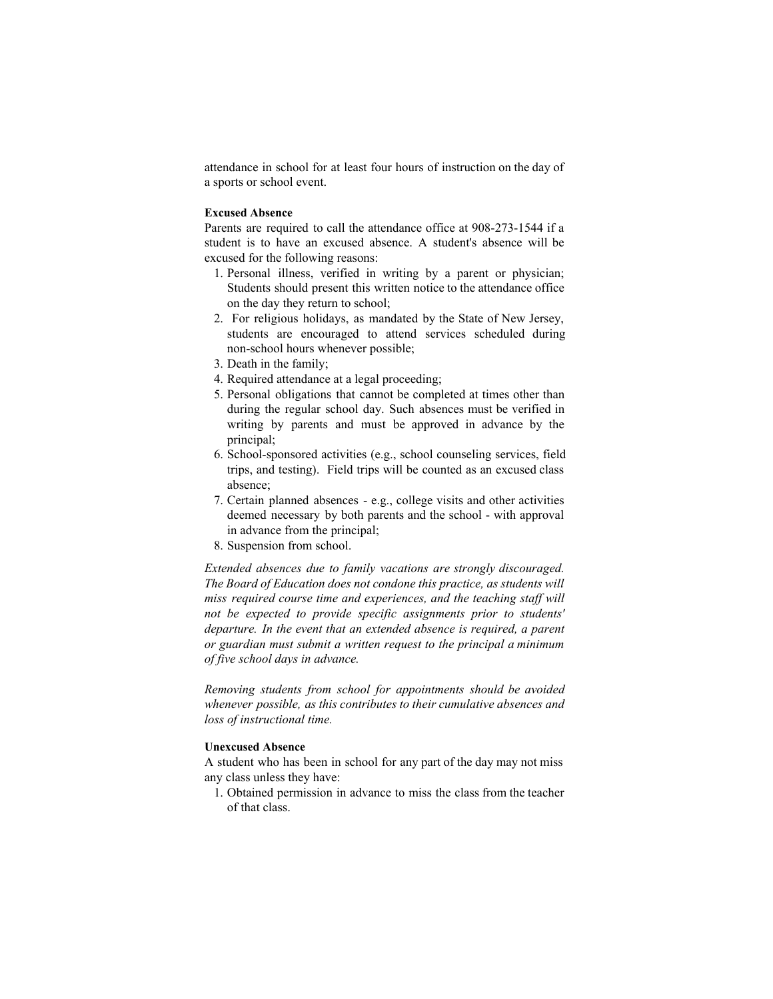attendance in school for at least four hours of instruction on the day of a sports or school event.

#### **Excused Absence**

Parents are required to call the attendance office at 908-273-1544 if a student is to have an excused absence. A student's absence will be excused for the following reasons:

- 1. Personal illness, verified in writing by a parent or physician; Students should present this written notice to the attendance office on the day they return to school;
- 2. For religious holidays, as mandated by the State of New Jersey, students are encouraged to attend services scheduled during non-school hours whenever possible;
- 3. Death in the family;
- 4. Required attendance at a legal proceeding;
- 5. Personal obligations that cannot be completed at times other than during the regular school day. Such absences must be verified in writing by parents and must be approved in advance by the principal;
- 6. School-sponsored activities (e.g., school counseling services, field trips, and testing). Field trips will be counted as an excused class absence;
- 7. Certain planned absences e.g., college visits and other activities deemed necessary by both parents and the school - with approval in advance from the principal;
- 8. Suspension from school.

*Extended absences due to family vacations are strongly discouraged. The Board of Education does not condone this practice, as students will miss required course time and experiences, and the teaching staff will not be expected to provide specific assignments prior to students' departure. In the event that an extended absence is required, a parent or guardian must submit a written request to the principal a minimum of five school days in advance.*

*Removing students from school for appointments should be avoided whenever possible, as this contributes to their cumulative absences and loss of instructional time.*

# **Unexcused Absence**

A student who has been in school for any part of the day may not miss any class unless they have:

1. Obtained permission in advance to miss the class from the teacher of that class.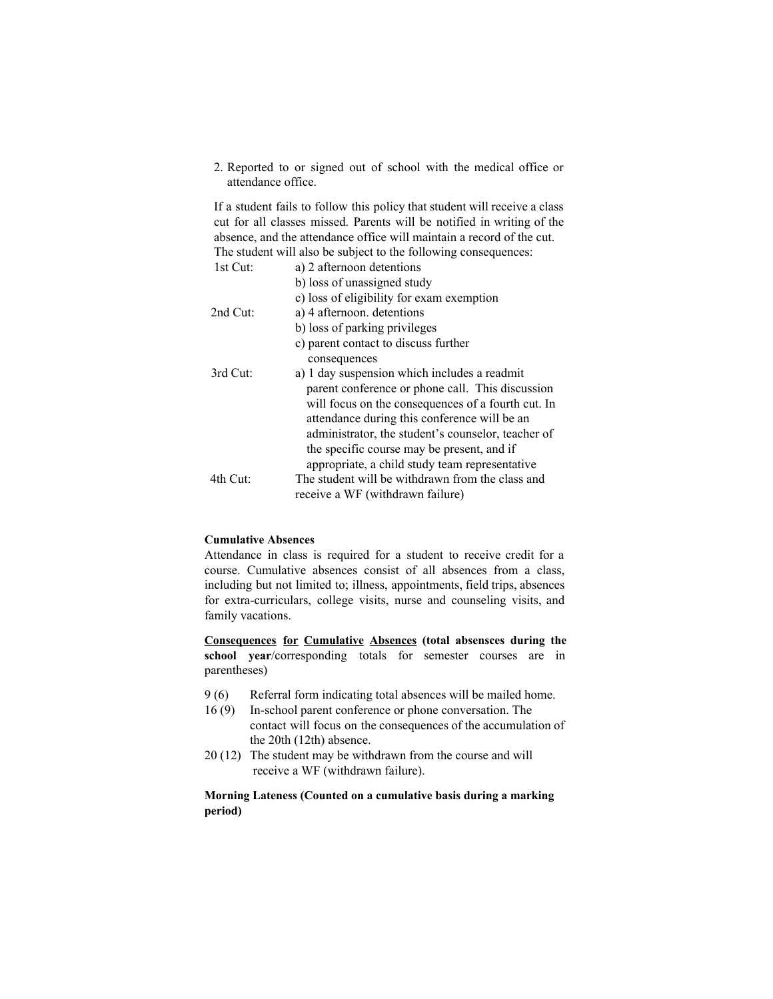2. Reported to or signed out of school with the medical office or attendance office.

If a student fails to follow this policy that student will receive a class cut for all classes missed. Parents will be notified in writing of the absence, and the attendance office will maintain a record of the cut. The student will also be subject to the following consequences:

| 1st Cut: | a) 2 afternoon detentions                          |
|----------|----------------------------------------------------|
|          | b) loss of unassigned study                        |
|          | c) loss of eligibility for exam exemption          |
| 2nd Cut: | a) 4 afternoon. detentions                         |
|          | b) loss of parking privileges                      |
|          | c) parent contact to discuss further               |
|          | consequences                                       |
| 3rd Cut: | a) 1 day suspension which includes a readmit       |
|          | parent conference or phone call. This discussion   |
|          | will focus on the consequences of a fourth cut. In |
|          | attendance during this conference will be an       |
|          | administrator, the student's counselor, teacher of |
|          | the specific course may be present, and if         |
|          | appropriate, a child study team representative     |
| 4th Cut: | The student will be withdrawn from the class and   |
|          | receive a WF (withdrawn failure)                   |

# **Cumulative Absences**

Attendance in class is required for a student to receive credit for a course. Cumulative absences consist of all absences from a class, including but not limited to; illness, appointments, field trips, absences for extra-curriculars, college visits, nurse and counseling visits, and family vacations.

**Consequences for Cumulative Absences (total absensces during the school year**/corresponding totals for semester courses are in parentheses)

- 9 (6) Referral form indicating total absences will be mailed home.
- 16 (9) In-school parent conference or phone conversation. The contact will focus on the consequences of the accumulation of the 20th (12th) absence.
- 20 (12) The student may be withdrawn from the course and will receive a WF (withdrawn failure).

**Morning Lateness (Counted on a cumulative basis during a marking period)**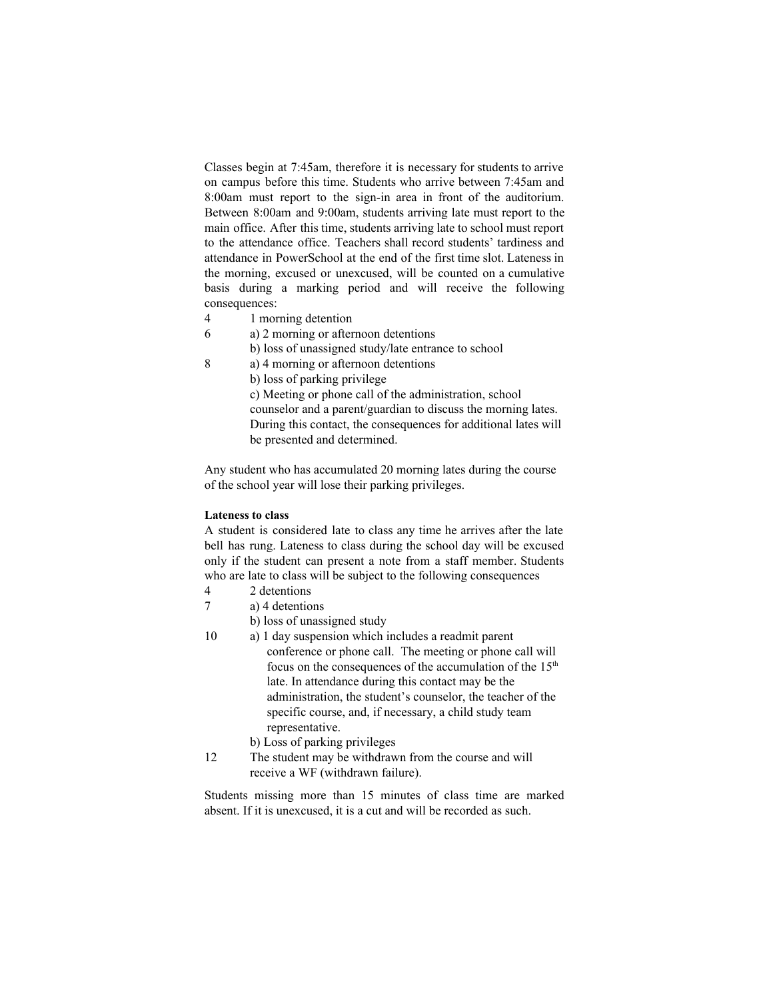Classes begin at 7:45am, therefore it is necessary for students to arrive on campus before this time. Students who arrive between 7:45am and 8:00am must report to the sign-in area in front of the auditorium. Between 8:00am and 9:00am, students arriving late must report to the main office. After this time, students arriving late to school must report to the attendance office. Teachers shall record students' tardiness and attendance in PowerSchool at the end of the first time slot. Lateness in the morning, excused or unexcused, will be counted on a cumulative basis during a marking period and will receive the following consequences:

- 4 1 morning detention
- 6 a) 2 morning or afternoon detentions
	- b) loss of unassigned study/late entrance to school
- 8 a) 4 morning or afternoon detentions
	- b) loss of parking privilege

c) Meeting or phone call of the administration, school counselor and a parent/guardian to discuss the morning lates. During this contact, the consequences for additional lates will be presented and determined.

Any student who has accumulated 20 morning lates during the course of the school year will lose their parking privileges.

# **Lateness to class**

A student is considered late to class any time he arrives after the late bell has rung. Lateness to class during the school day will be excused only if the student can present a note from a staff member. Students who are late to class will be subject to the following consequences

- 4 2 detentions
- 7 a) 4 detentions
	- b) loss of unassigned study
- 10 a) 1 day suspension which includes a readmit parent conference or phone call. The meeting or phone call will focus on the consequences of the accumulation of the 15<sup>th</sup> late. In attendance during this contact may be the administration, the student's counselor, the teacher of the specific course, and, if necessary, a child study team representative.
	- b) Loss of parking privileges
- 12 The student may be withdrawn from the course and will receive a WF (withdrawn failure).

Students missing more than 15 minutes of class time are marked absent. If it is unexcused, it is a cut and will be recorded as such.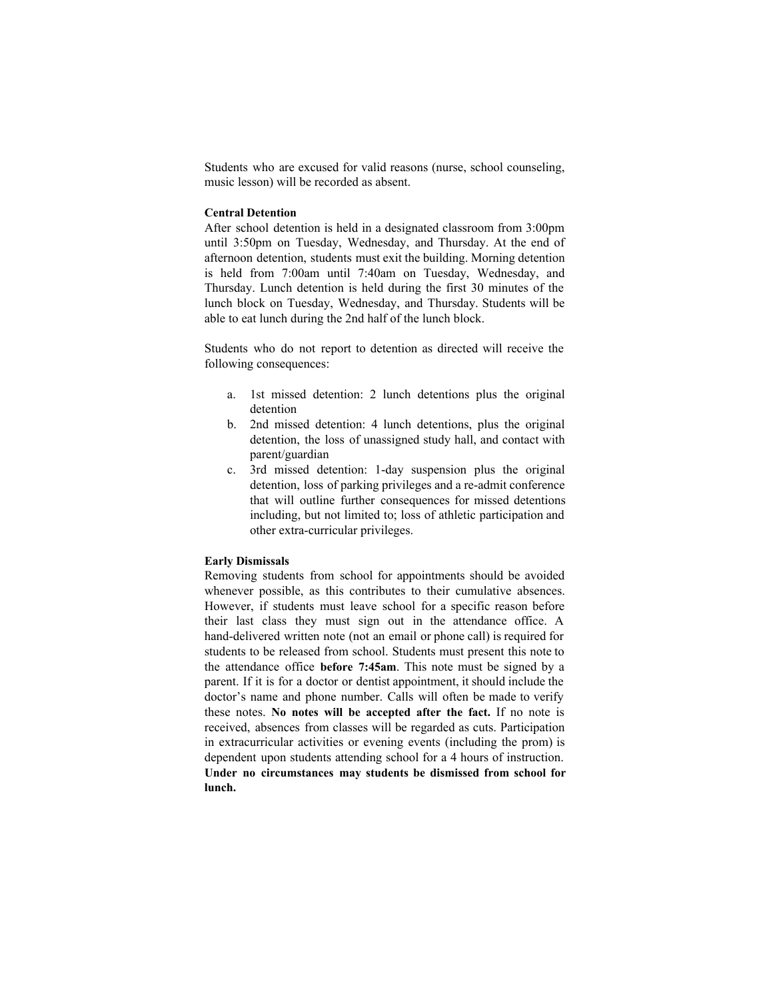Students who are excused for valid reasons (nurse, school counseling, music lesson) will be recorded as absent.

#### **Central Detention**

After school detention is held in a designated classroom from 3:00pm until 3:50pm on Tuesday, Wednesday, and Thursday. At the end of afternoon detention, students must exit the building. Morning detention is held from 7:00am until 7:40am on Tuesday, Wednesday, and Thursday. Lunch detention is held during the first 30 minutes of the lunch block on Tuesday, Wednesday, and Thursday. Students will be able to eat lunch during the 2nd half of the lunch block.

Students who do not report to detention as directed will receive the following consequences:

- a. 1st missed detention: 2 lunch detentions plus the original detention
- b. 2nd missed detention: 4 lunch detentions, plus the original detention, the loss of unassigned study hall, and contact with parent/guardian
- c. 3rd missed detention: 1-day suspension plus the original detention, loss of parking privileges and a re-admit conference that will outline further consequences for missed detentions including, but not limited to; loss of athletic participation and other extra-curricular privileges.

#### **Early Dismissals**

Removing students from school for appointments should be avoided whenever possible, as this contributes to their cumulative absences. However, if students must leave school for a specific reason before their last class they must sign out in the attendance office. A hand-delivered written note (not an email or phone call) is required for students to be released from school. Students must present this note to the attendance office **before 7:45am**. This note must be signed by a parent. If it is for a doctor or dentist appointment, it should include the doctor's name and phone number. Calls will often be made to verify these notes. **No notes will be accepted after the fact.** If no note is received, absences from classes will be regarded as cuts. Participation in extracurricular activities or evening events (including the prom) is dependent upon students attending school for a 4 hours of instruction. **Under no circumstances may students be dismissed from school for lunch.**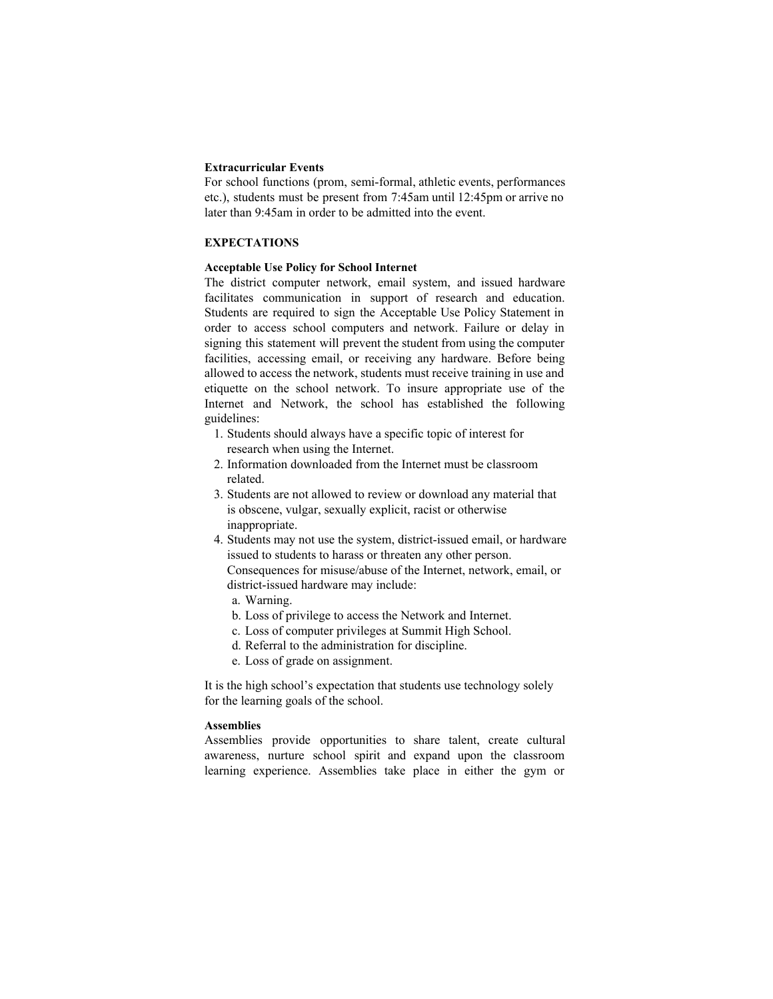# **Extracurricular Events**

For school functions (prom, semi-formal, athletic events, performances etc.), students must be present from 7:45am until 12:45pm or arrive no later than 9:45am in order to be admitted into the event.

# **EXPECTATIONS**

#### **Acceptable Use Policy for School Internet**

The district computer network, email system, and issued hardware facilitates communication in support of research and education. Students are required to sign the Acceptable Use Policy Statement in order to access school computers and network. Failure or delay in signing this statement will prevent the student from using the computer facilities, accessing email, or receiving any hardware. Before being allowed to access the network, students must receive training in use and etiquette on the school network. To insure appropriate use of the Internet and Network, the school has established the following guidelines:

- 1. Students should always have a specific topic of interest for research when using the Internet.
- 2. Information downloaded from the Internet must be classroom related.
- 3. Students are not allowed to review or download any material that is obscene, vulgar, sexually explicit, racist or otherwise inappropriate.
- 4. Students may not use the system, district-issued email, or hardware issued to students to harass or threaten any other person. Consequences for misuse/abuse of the Internet, network, email, or district-issued hardware may include:
	- a. Warning.
	- b. Loss of privilege to access the Network and Internet.
	- c. Loss of computer privileges at Summit High School.
	- d. Referral to the administration for discipline.
	- e. Loss of grade on assignment.

It is the high school's expectation that students use technology solely for the learning goals of the school.

# **Assemblies**

Assemblies provide opportunities to share talent, create cultural awareness, nurture school spirit and expand upon the classroom learning experience. Assemblies take place in either the gym or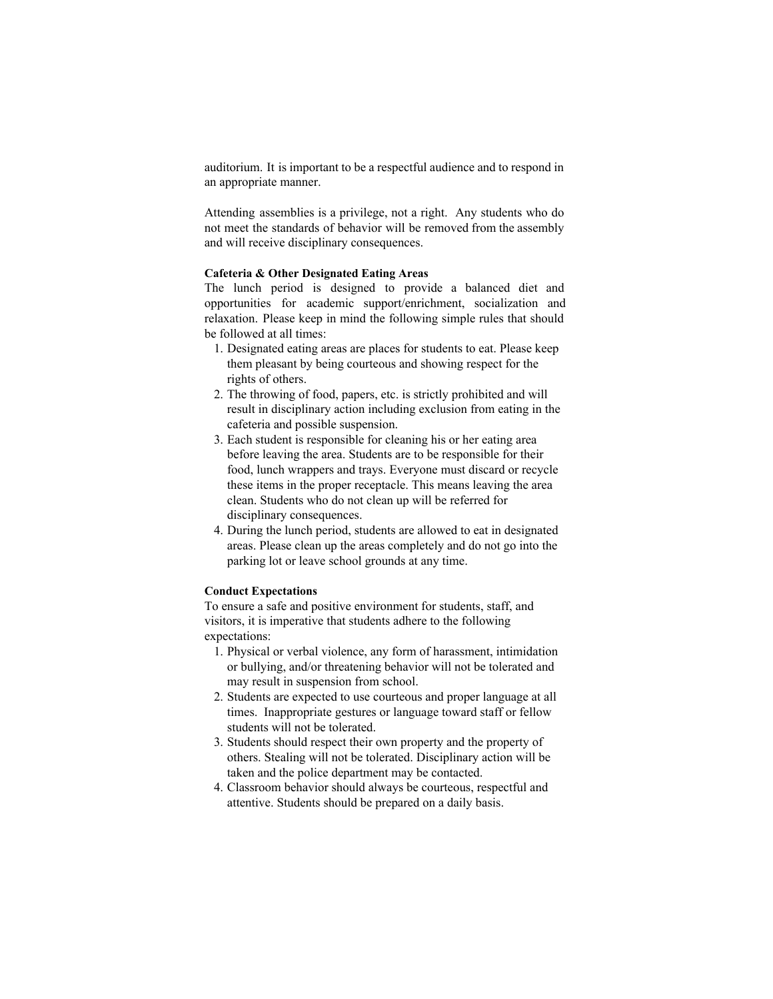auditorium. It is important to be a respectful audience and to respond in an appropriate manner.

Attending assemblies is a privilege, not a right. Any students who do not meet the standards of behavior will be removed from the assembly and will receive disciplinary consequences.

# **Cafeteria & Other Designated Eating Areas**

The lunch period is designed to provide a balanced diet and opportunities for academic support/enrichment, socialization and relaxation. Please keep in mind the following simple rules that should be followed at all times:

- 1. Designated eating areas are places for students to eat. Please keep them pleasant by being courteous and showing respect for the rights of others.
- 2. The throwing of food, papers, etc. is strictly prohibited and will result in disciplinary action including exclusion from eating in the cafeteria and possible suspension.
- 3. Each student is responsible for cleaning his or her eating area before leaving the area. Students are to be responsible for their food, lunch wrappers and trays. Everyone must discard or recycle these items in the proper receptacle. This means leaving the area clean. Students who do not clean up will be referred for disciplinary consequences.
- 4. During the lunch period, students are allowed to eat in designated areas. Please clean up the areas completely and do not go into the parking lot or leave school grounds at any time.

# **Conduct Expectations**

To ensure a safe and positive environment for students, staff, and visitors, it is imperative that students adhere to the following expectations:

- 1. Physical or verbal violence, any form of harassment, intimidation or bullying, and/or threatening behavior will not be tolerated and may result in suspension from school.
- 2. Students are expected to use courteous and proper language at all times. Inappropriate gestures or language toward staff or fellow students will not be tolerated.
- 3. Students should respect their own property and the property of others. Stealing will not be tolerated. Disciplinary action will be taken and the police department may be contacted.
- 4. Classroom behavior should always be courteous, respectful and attentive. Students should be prepared on a daily basis.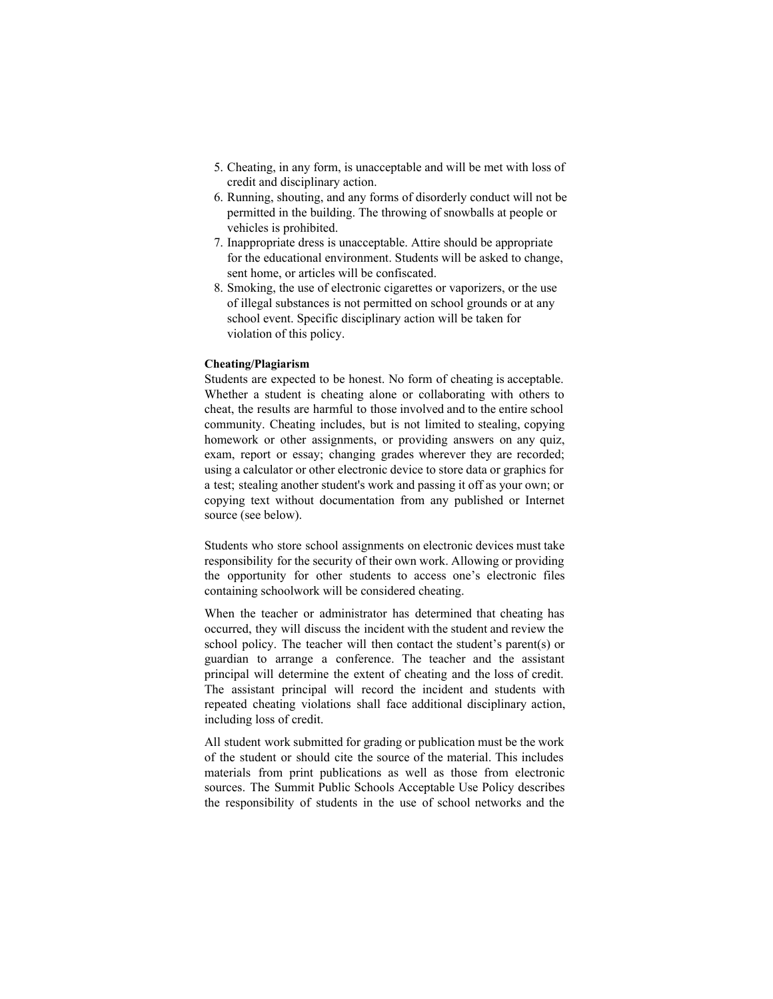- 5. Cheating, in any form, is unacceptable and will be met with loss of credit and disciplinary action.
- 6. Running, shouting, and any forms of disorderly conduct will not be permitted in the building. The throwing of snowballs at people or vehicles is prohibited.
- 7. Inappropriate dress is unacceptable. Attire should be appropriate for the educational environment. Students will be asked to change, sent home, or articles will be confiscated.
- 8. Smoking, the use of electronic cigarettes or vaporizers, or the use of illegal substances is not permitted on school grounds or at any school event. Specific disciplinary action will be taken for violation of this policy.

# **Cheating/Plagiarism**

Students are expected to be honest. No form of cheating is acceptable. Whether a student is cheating alone or collaborating with others to cheat, the results are harmful to those involved and to the entire school community. Cheating includes, but is not limited to stealing, copying homework or other assignments, or providing answers on any quiz, exam, report or essay; changing grades wherever they are recorded; using a calculator or other electronic device to store data or graphics for a test; stealing another student's work and passing it off as your own; or copying text without documentation from any published or Internet source (see below).

Students who store school assignments on electronic devices must take responsibility for the security of their own work. Allowing or providing the opportunity for other students to access one's electronic files containing schoolwork will be considered cheating.

When the teacher or administrator has determined that cheating has occurred, they will discuss the incident with the student and review the school policy. The teacher will then contact the student's parent(s) or guardian to arrange a conference. The teacher and the assistant principal will determine the extent of cheating and the loss of credit. The assistant principal will record the incident and students with repeated cheating violations shall face additional disciplinary action, including loss of credit.

All student work submitted for grading or publication must be the work of the student or should cite the source of the material. This includes materials from print publications as well as those from electronic sources. The Summit Public Schools Acceptable Use Policy describes the responsibility of students in the use of school networks and the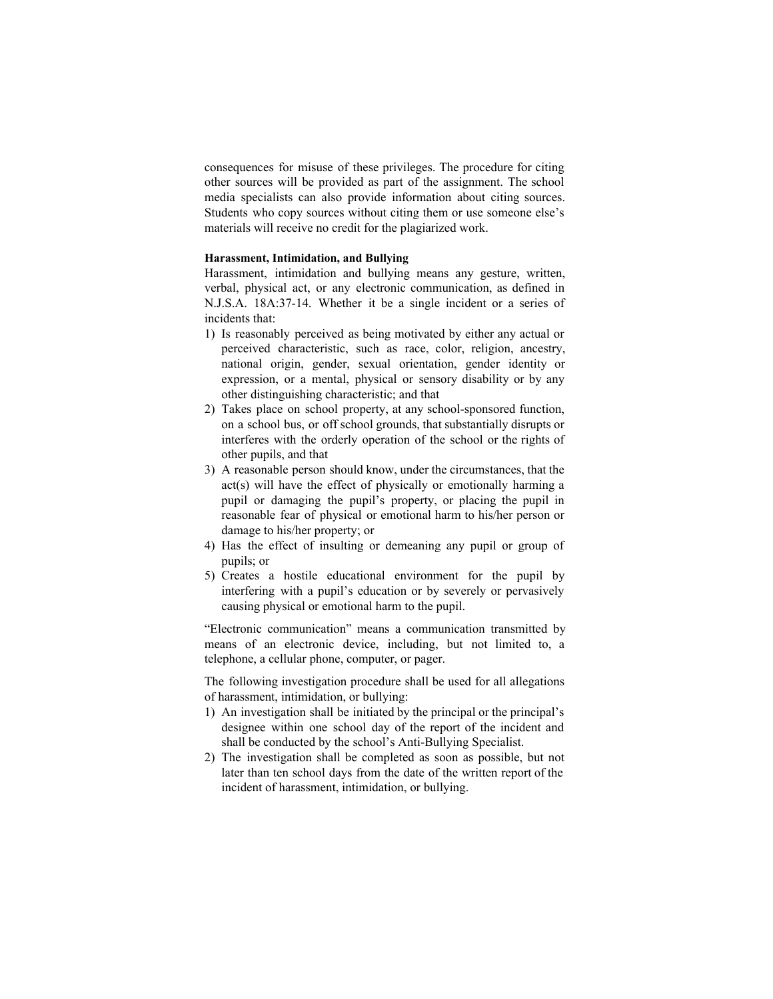consequences for misuse of these privileges. The procedure for citing other sources will be provided as part of the assignment. The school media specialists can also provide information about citing sources. Students who copy sources without citing them or use someone else's materials will receive no credit for the plagiarized work.

#### **Harassment, Intimidation, and Bullying**

Harassment, intimidation and bullying means any gesture, written, verbal, physical act, or any electronic communication, as defined in N.J.S.A. 18A:37-14. Whether it be a single incident or a series of incidents that:

- 1) Is reasonably perceived as being motivated by either any actual or perceived characteristic, such as race, color, religion, ancestry, national origin, gender, sexual orientation, gender identity or expression, or a mental, physical or sensory disability or by any other distinguishing characteristic; and that
- 2) Takes place on school property, at any school-sponsored function, on a school bus, or off school grounds, that substantially disrupts or interferes with the orderly operation of the school or the rights of other pupils, and that
- 3) A reasonable person should know, under the circumstances, that the act(s) will have the effect of physically or emotionally harming a pupil or damaging the pupil's property, or placing the pupil in reasonable fear of physical or emotional harm to his/her person or damage to his/her property; or
- 4) Has the effect of insulting or demeaning any pupil or group of pupils; or
- 5) Creates a hostile educational environment for the pupil by interfering with a pupil's education or by severely or pervasively causing physical or emotional harm to the pupil.

"Electronic communication" means a communication transmitted by means of an electronic device, including, but not limited to, a telephone, a cellular phone, computer, or pager.

The following investigation procedure shall be used for all allegations of harassment, intimidation, or bullying:

- 1) An investigation shall be initiated by the principal or the principal's designee within one school day of the report of the incident and shall be conducted by the school's Anti-Bullying Specialist.
- 2) The investigation shall be completed as soon as possible, but not later than ten school days from the date of the written report of the incident of harassment, intimidation, or bullying.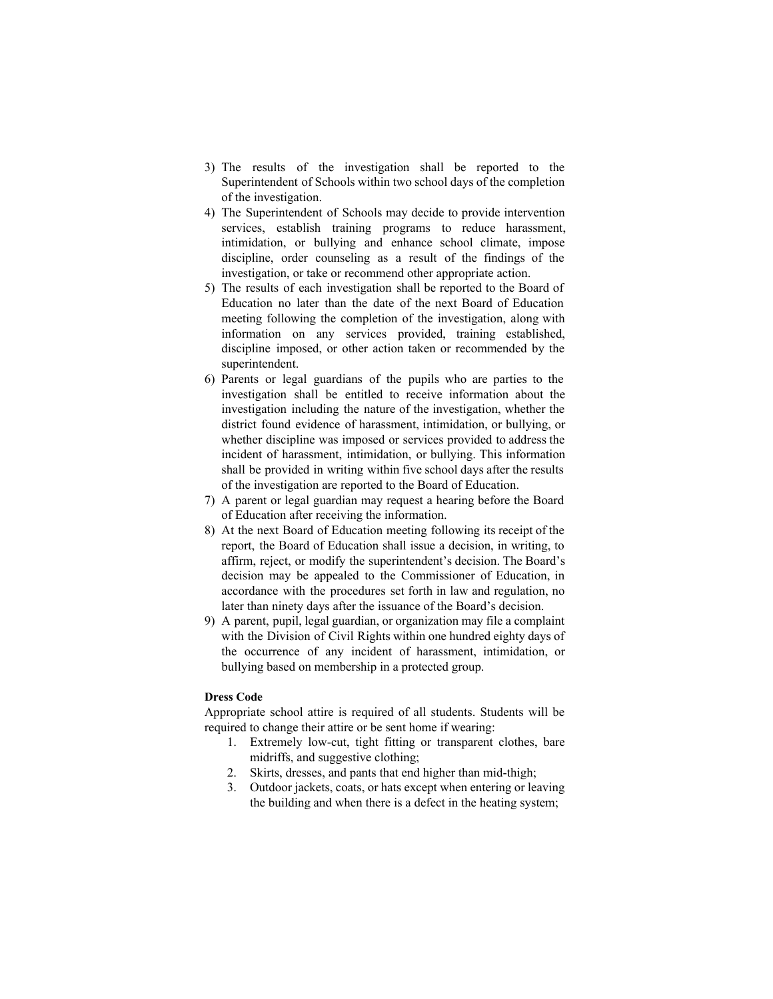- 3) The results of the investigation shall be reported to the Superintendent of Schools within two school days of the completion of the investigation.
- 4) The Superintendent of Schools may decide to provide intervention services, establish training programs to reduce harassment, intimidation, or bullying and enhance school climate, impose discipline, order counseling as a result of the findings of the investigation, or take or recommend other appropriate action.
- 5) The results of each investigation shall be reported to the Board of Education no later than the date of the next Board of Education meeting following the completion of the investigation, along with information on any services provided, training established, discipline imposed, or other action taken or recommended by the superintendent.
- 6) Parents or legal guardians of the pupils who are parties to the investigation shall be entitled to receive information about the investigation including the nature of the investigation, whether the district found evidence of harassment, intimidation, or bullying, or whether discipline was imposed or services provided to address the incident of harassment, intimidation, or bullying. This information shall be provided in writing within five school days after the results of the investigation are reported to the Board of Education.
- 7) A parent or legal guardian may request a hearing before the Board of Education after receiving the information.
- 8) At the next Board of Education meeting following its receipt of the report, the Board of Education shall issue a decision, in writing, to affirm, reject, or modify the superintendent's decision. The Board's decision may be appealed to the Commissioner of Education, in accordance with the procedures set forth in law and regulation, no later than ninety days after the issuance of the Board's decision.
- 9) A parent, pupil, legal guardian, or organization may file a complaint with the Division of Civil Rights within one hundred eighty days of the occurrence of any incident of harassment, intimidation, or bullying based on membership in a protected group.

## **Dress Code**

Appropriate school attire is required of all students. Students will be required to change their attire or be sent home if wearing:

- 1. Extremely low-cut, tight fitting or transparent clothes, bare midriffs, and suggestive clothing;
- 2. Skirts, dresses, and pants that end higher than mid-thigh;
- 3. Outdoor jackets, coats, or hats except when entering or leaving the building and when there is a defect in the heating system;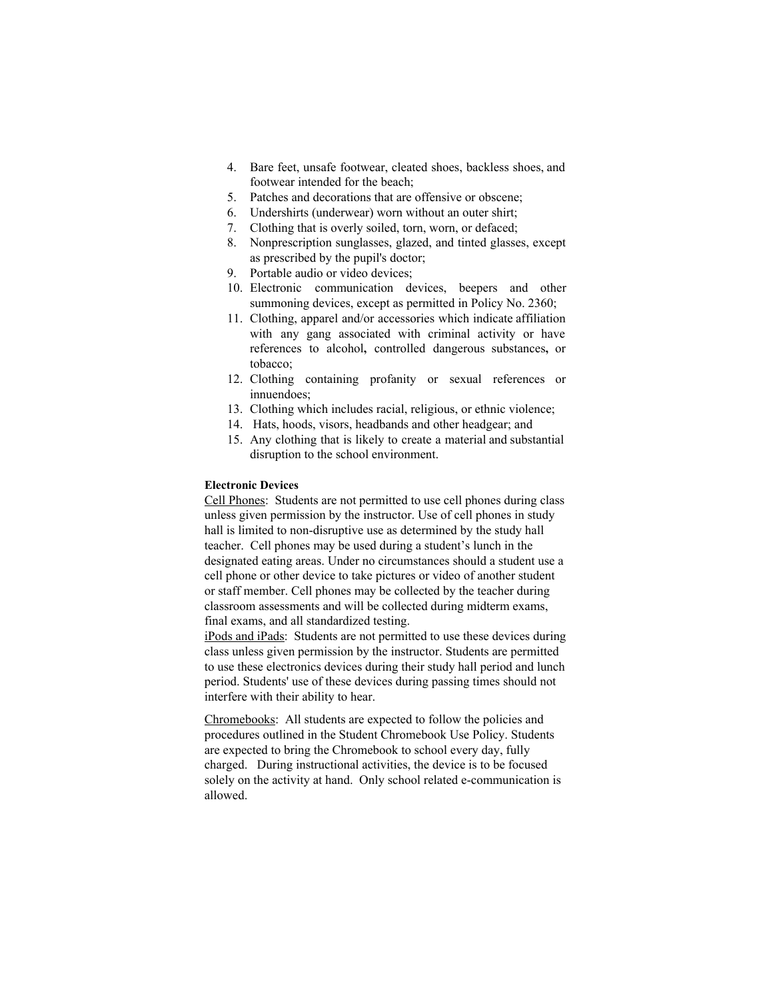- 4. Bare feet, unsafe footwear, cleated shoes, backless shoes, and footwear intended for the beach;
- 5. Patches and decorations that are offensive or obscene;
- 6. Undershirts (underwear) worn without an outer shirt;
- 7. Clothing that is overly soiled, torn, worn, or defaced;
- 8. Nonprescription sunglasses, glazed, and tinted glasses, except as prescribed by the pupil's doctor;
- 9. Portable audio or video devices;
- 10. Electronic communication devices, beepers and other summoning devices, except as permitted in Policy No. 2360;
- 11. Clothing, apparel and/or accessories which indicate affiliation with any gang associated with criminal activity or have references to alcohol**,** controlled dangerous substances**,** or tobacco;
- 12. Clothing containing profanity or sexual references or innuendoes;
- 13. Clothing which includes racial, religious, or ethnic violence;
- 14. Hats, hoods, visors, headbands and other headgear; and
- 15. Any clothing that is likely to create a material and substantial disruption to the school environment.

#### **Electronic Devices**

Cell Phones: Students are not permitted to use cell phones during class unless given permission by the instructor. Use of cell phones in study hall is limited to non-disruptive use as determined by the study hall teacher. Cell phones may be used during a student's lunch in the designated eating areas. Under no circumstances should a student use a cell phone or other device to take pictures or video of another student or staff member. Cell phones may be collected by the teacher during classroom assessments and will be collected during midterm exams, final exams, and all standardized testing.

iPods and iPads: Students are not permitted to use these devices during class unless given permission by the instructor. Students are permitted to use these electronics devices during their study hall period and lunch period. Students' use of these devices during passing times should not interfere with their ability to hear.

Chromebooks: All students are expected to follow the policies and procedures outlined in the Student Chromebook Use Policy. Students are expected to bring the Chromebook to school every day, fully charged. During instructional activities, the device is to be focused solely on the activity at hand. Only school related e-communication is allowed.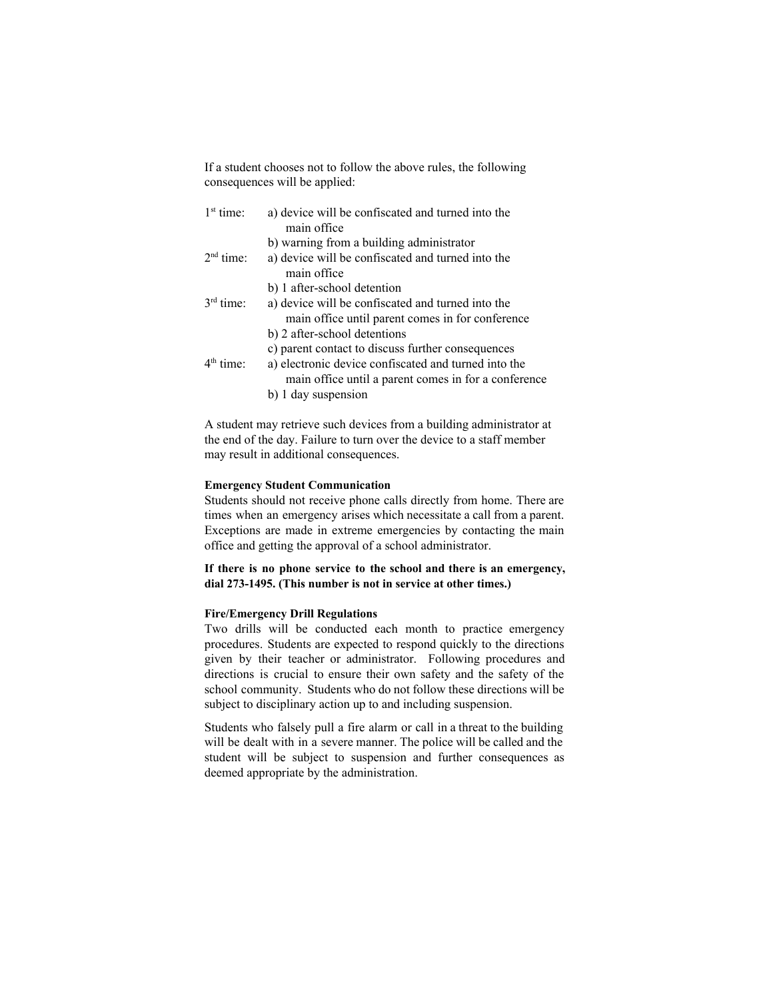If a student chooses not to follow the above rules, the following consequences will be applied:

| $1st$ time: | a) device will be confiscated and turned into the<br>main office                                                                                                                                                         |
|-------------|--------------------------------------------------------------------------------------------------------------------------------------------------------------------------------------------------------------------------|
| $2nd$ time: | b) warning from a building administrator<br>a) device will be confiscated and turned into the<br>main office                                                                                                             |
| $3rd$ time. | b) 1 after-school detention<br>a) device will be confiscated and turned into the<br>main office until parent comes in for conference                                                                                     |
| $4th$ time: | b) 2 after-school detentions<br>c) parent contact to discuss further consequences<br>a) electronic device confiscated and turned into the<br>main office until a parent comes in for a conference<br>b) 1 day suspension |

A student may retrieve such devices from a building administrator at the end of the day. Failure to turn over the device to a staff member may result in additional consequences.

#### **Emergency Student Communication**

Students should not receive phone calls directly from home. There are times when an emergency arises which necessitate a call from a parent. Exceptions are made in extreme emergencies by contacting the main office and getting the approval of a school administrator.

# **If there is no phone service to the school and there is an emergency,** dial 273-1495. (This number is not in service at other times.)

#### **Fire/Emergency Drill Regulations**

Two drills will be conducted each month to practice emergency procedures. Students are expected to respond quickly to the directions given by their teacher or administrator. Following procedures and directions is crucial to ensure their own safety and the safety of the school community. Students who do not follow these directions will be subject to disciplinary action up to and including suspension.

Students who falsely pull a fire alarm or call in a threat to the building will be dealt with in a severe manner. The police will be called and the student will be subject to suspension and further consequences as deemed appropriate by the administration.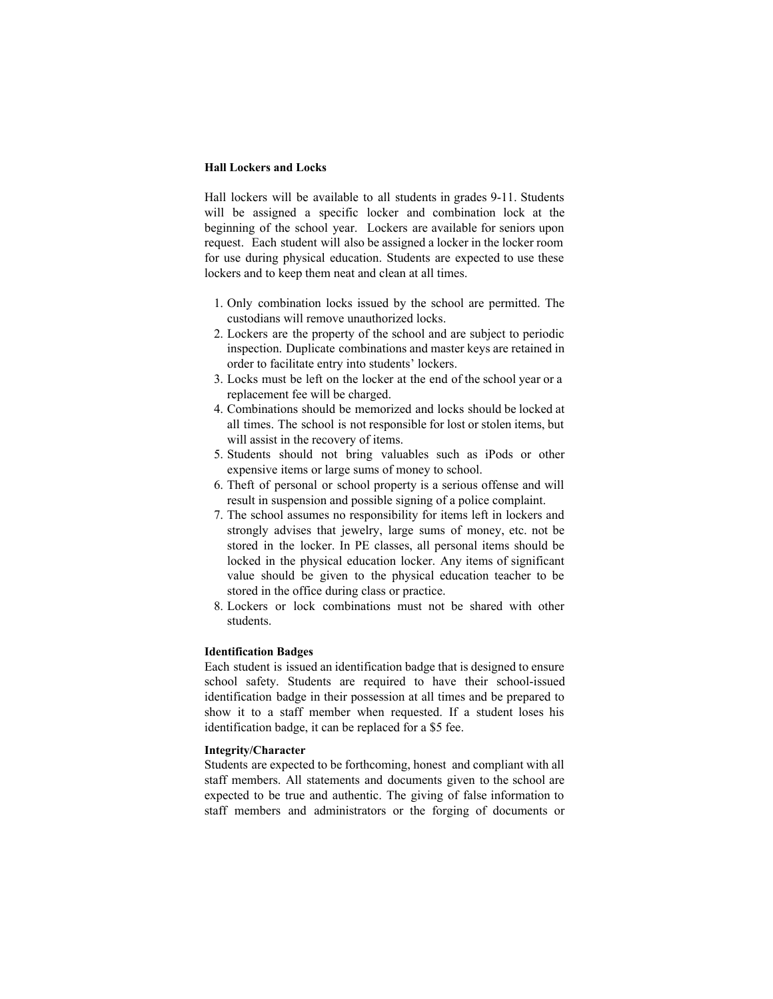# **Hall Lockers and Locks**

Hall lockers will be available to all students in grades 9-11. Students will be assigned a specific locker and combination lock at the beginning of the school year. Lockers are available for seniors upon request. Each student will also be assigned a locker in the locker room for use during physical education. Students are expected to use these lockers and to keep them neat and clean at all times.

- 1. Only combination locks issued by the school are permitted. The custodians will remove unauthorized locks.
- 2. Lockers are the property of the school and are subject to periodic inspection. Duplicate combinations and master keys are retained in order to facilitate entry into students' lockers.
- 3. Locks must be left on the locker at the end of the school year or a replacement fee will be charged.
- 4. Combinations should be memorized and locks should be locked at all times. The school is not responsible for lost or stolen items, but will assist in the recovery of items.
- 5. Students should not bring valuables such as iPods or other expensive items or large sums of money to school.
- 6. Theft of personal or school property is a serious offense and will result in suspension and possible signing of a police complaint.
- 7. The school assumes no responsibility for items left in lockers and strongly advises that jewelry, large sums of money, etc. not be stored in the locker. In PE classes, all personal items should be locked in the physical education locker. Any items of significant value should be given to the physical education teacher to be stored in the office during class or practice.
- 8. Lockers or lock combinations must not be shared with other students.

# **Identification Badges**

Each student is issued an identification badge that is designed to ensure school safety. Students are required to have their school-issued identification badge in their possession at all times and be prepared to show it to a staff member when requested. If a student loses his identification badge, it can be replaced for a \$5 fee.

# **Integrity/Character**

Students are expected to be forthcoming, honest and compliant with all staff members. All statements and documents given to the school are expected to be true and authentic. The giving of false information to staff members and administrators or the forging of documents or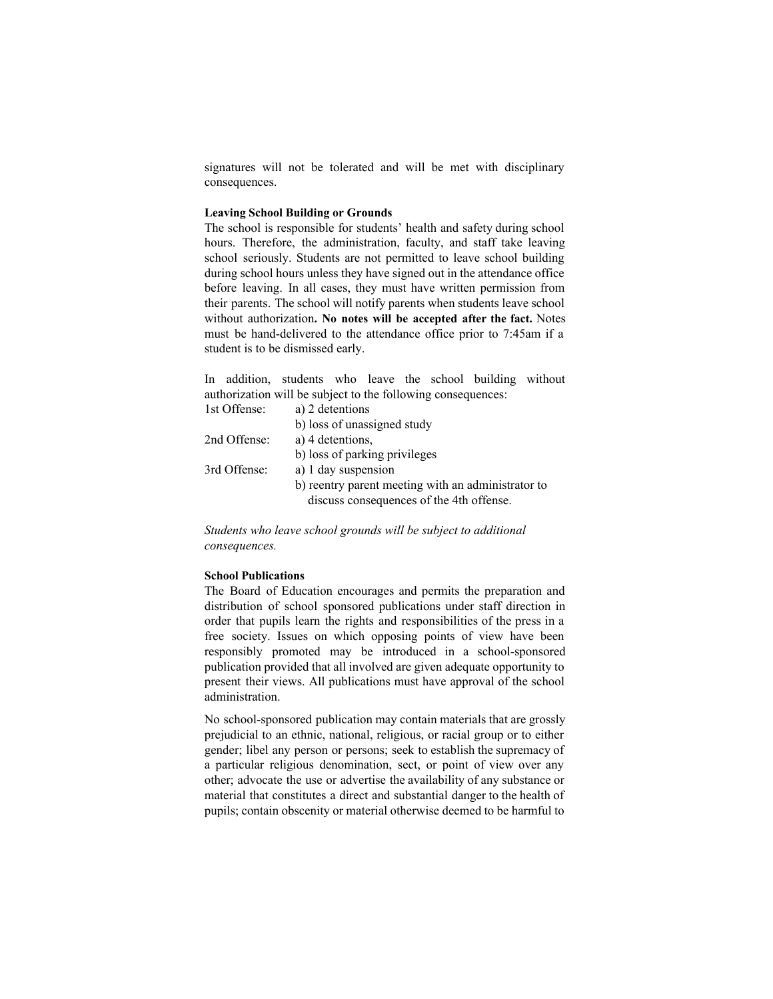signatures will not be tolerated and will be met with disciplinary consequences.

#### **Leaving School Building or Grounds**

The school is responsible for students' health and safety during school hours. Therefore, the administration, faculty, and staff take leaving school seriously. Students are not permitted to leave school building during school hours unless they have signed out in the attendance office before leaving. In all cases, they must have written permission from their parents. The school will notify parents when students leave school without authorization**. No notes will be accepted after the fact.** Notes must be hand-delivered to the attendance office prior to 7:45am if a student is to be dismissed early.

In addition, students who leave the school building without authorization will be subject to the following consequences: 1st Offense: a) 2 detentions

| TSU OTIGIIST. | $a_1 \angle$ actuations                                                                        |
|---------------|------------------------------------------------------------------------------------------------|
|               | b) loss of unassigned study                                                                    |
| 2nd Offense:  | a) 4 detentions,                                                                               |
|               | b) loss of parking privileges                                                                  |
| 3rd Offense:  | a) 1 day suspension                                                                            |
|               | b) reentry parent meeting with an administrator to<br>discuss consequences of the 4th offense. |
|               |                                                                                                |

*Students who leave school grounds will be subject to additional consequences.*

#### **School Publications**

The Board of Education encourages and permits the preparation and distribution of school sponsored publications under staff direction in order that pupils learn the rights and responsibilities of the press in a free society. Issues on which opposing points of view have been responsibly promoted may be introduced in a school-sponsored publication provided that all involved are given adequate opportunity to present their views. All publications must have approval of the school administration.

No school-sponsored publication may contain materials that are grossly prejudicial to an ethnic, national, religious, or racial group or to either gender; libel any person or persons; seek to establish the supremacy of a particular religious denomination, sect, or point of view over any other; advocate the use or advertise the availability of any substance or material that constitutes a direct and substantial danger to the health of pupils; contain obscenity or material otherwise deemed to be harmful to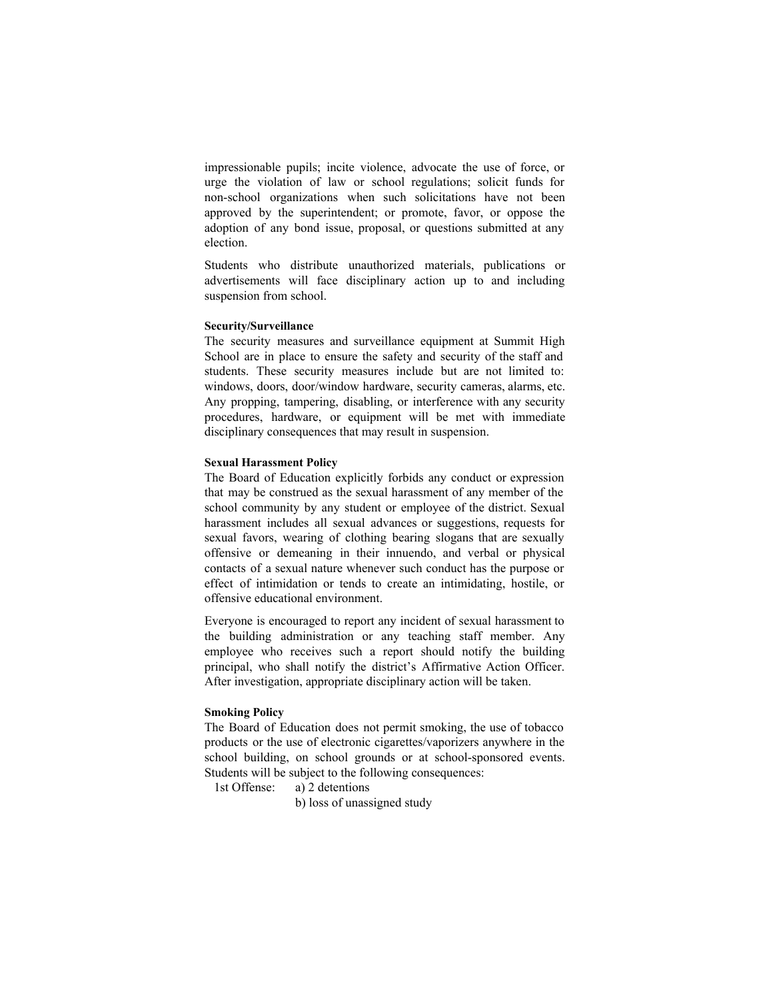impressionable pupils; incite violence, advocate the use of force, or urge the violation of law or school regulations; solicit funds for non-school organizations when such solicitations have not been approved by the superintendent; or promote, favor, or oppose the adoption of any bond issue, proposal, or questions submitted at any election.

Students who distribute unauthorized materials, publications or advertisements will face disciplinary action up to and including suspension from school.

#### **Security/Surveillance**

The security measures and surveillance equipment at Summit High School are in place to ensure the safety and security of the staff and students. These security measures include but are not limited to: windows, doors, door/window hardware, security cameras, alarms, etc. Any propping, tampering, disabling, or interference with any security procedures, hardware, or equipment will be met with immediate disciplinary consequences that may result in suspension.

#### **Sexual Harassment Policy**

The Board of Education explicitly forbids any conduct or expression that may be construed as the sexual harassment of any member of the school community by any student or employee of the district. Sexual harassment includes all sexual advances or suggestions, requests for sexual favors, wearing of clothing bearing slogans that are sexually offensive or demeaning in their innuendo, and verbal or physical contacts of a sexual nature whenever such conduct has the purpose or effect of intimidation or tends to create an intimidating, hostile, or offensive educational environment.

Everyone is encouraged to report any incident of sexual harassment to the building administration or any teaching staff member. Any employee who receives such a report should notify the building principal, who shall notify the district's Affirmative Action Officer. After investigation, appropriate disciplinary action will be taken.

#### **Smoking Policy**

The Board of Education does not permit smoking, the use of tobacco products or the use of electronic cigarettes/vaporizers anywhere in the school building, on school grounds or at school-sponsored events. Students will be subject to the following consequences:

1st Offense: a) 2 detentions

b) loss of unassigned study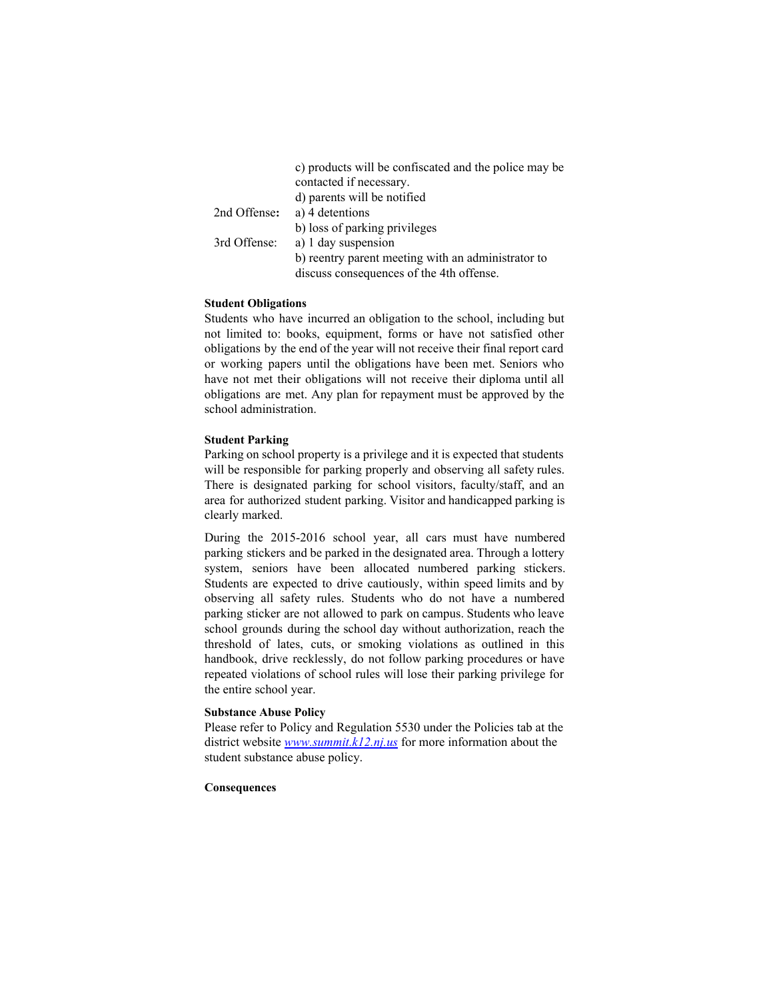|              | c) products will be confiscated and the police may be |
|--------------|-------------------------------------------------------|
|              | contacted if necessary.                               |
|              | d) parents will be notified                           |
| 2nd Offense: | a) 4 detentions                                       |
|              | b) loss of parking privileges                         |
| 3rd Offense: | a) 1 day suspension                                   |
|              | b) reentry parent meeting with an administrator to    |
|              | discuss consequences of the 4th offense.              |

# **Student Obligations**

Students who have incurred an obligation to the school, including but not limited to: books, equipment, forms or have not satisfied other obligations by the end of the year will not receive their final report card or working papers until the obligations have been met. Seniors who have not met their obligations will not receive their diploma until all obligations are met. Any plan for repayment must be approved by the school administration.

#### **Student Parking**

Parking on school property is a privilege and it is expected that students will be responsible for parking properly and observing all safety rules. There is designated parking for school visitors, faculty/staff, and an area for authorized student parking. Visitor and handicapped parking is clearly marked.

During the 2015-2016 school year, all cars must have numbered parking stickers and be parked in the designated area. Through a lottery system, seniors have been allocated numbered parking stickers. Students are expected to drive cautiously, within speed limits and by observing all safety rules. Students who do not have a numbered parking sticker are not allowed to park on campus. Students who leave school grounds during the school day without authorization, reach the threshold of lates, cuts, or smoking violations as outlined in this handbook, drive recklessly, do not follow parking procedures or have repeated violations of school rules will lose their parking privilege for the entire school year.

#### **Substance Abuse Policy**

Please refer to Policy and Regulation 5530 under the Policies tab at the district website *[www.summit.k12.nj.us](http://www.summit.k12.nj.us/)* for more information about the student substance abuse policy.

# **Consequences**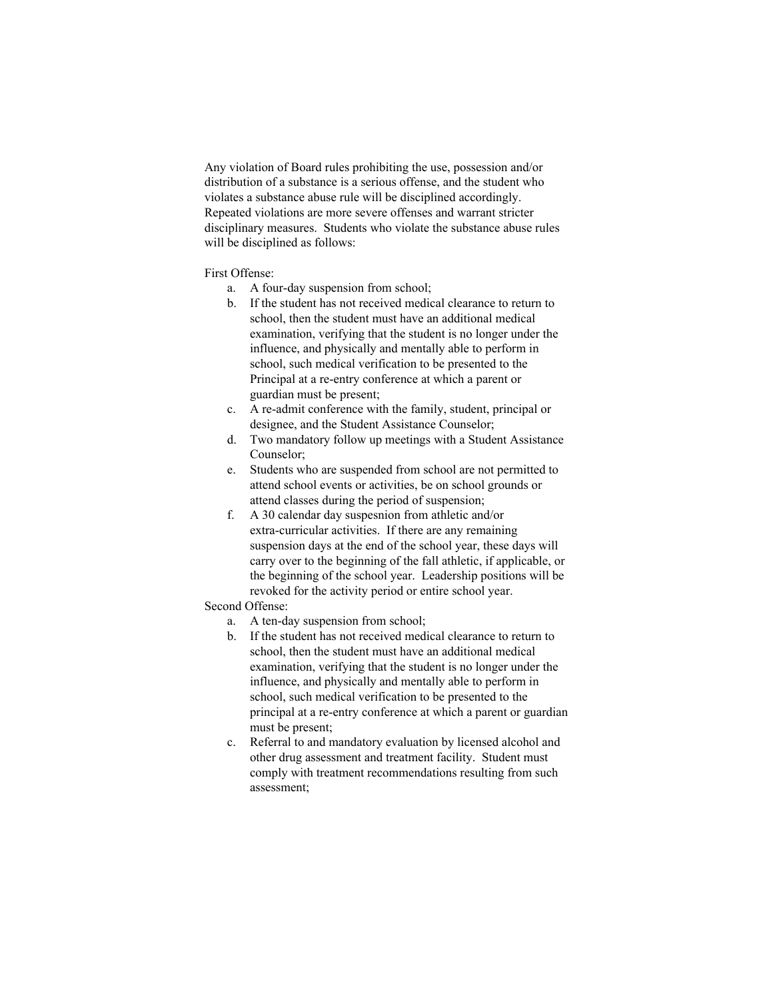Any violation of Board rules prohibiting the use, possession and/or distribution of a substance is a serious offense, and the student who violates a substance abuse rule will be disciplined accordingly. Repeated violations are more severe offenses and warrant stricter disciplinary measures. Students who violate the substance abuse rules will be disciplined as follows:

# First Offense:

- a. A four-day suspension from school;
- b. If the student has not received medical clearance to return to school, then the student must have an additional medical examination, verifying that the student is no longer under the influence, and physically and mentally able to perform in school, such medical verification to be presented to the Principal at a re-entry conference at which a parent or guardian must be present;
- c. A re-admit conference with the family, student, principal or designee, and the Student Assistance Counselor;
- d. Two mandatory follow up meetings with a Student Assistance Counselor;
- e. Students who are suspended from school are not permitted to attend school events or activities, be on school grounds or attend classes during the period of suspension;
- f. A 30 calendar day suspesnion from athletic and/or extra-curricular activities. If there are any remaining suspension days at the end of the school year, these days will carry over to the beginning of the fall athletic, if applicable, or the beginning of the school year. Leadership positions will be revoked for the activity period or entire school year.

# Second Offense:

- a. A ten-day suspension from school;
- b. If the student has not received medical clearance to return to school, then the student must have an additional medical examination, verifying that the student is no longer under the influence, and physically and mentally able to perform in school, such medical verification to be presented to the principal at a re-entry conference at which a parent or guardian must be present;
- c. Referral to and mandatory evaluation by licensed alcohol and other drug assessment and treatment facility. Student must comply with treatment recommendations resulting from such assessment;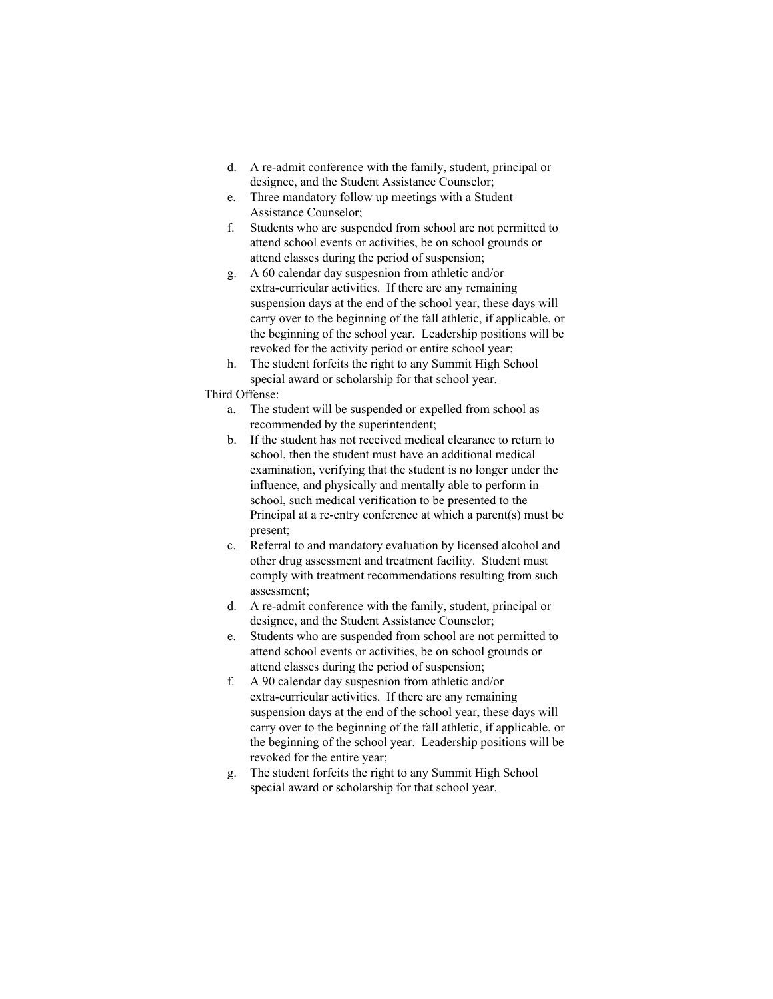- d. A re-admit conference with the family, student, principal or designee, and the Student Assistance Counselor;
- e. Three mandatory follow up meetings with a Student Assistance Counselor;
- f. Students who are suspended from school are not permitted to attend school events or activities, be on school grounds or attend classes during the period of suspension;
- g. A 60 calendar day suspesnion from athletic and/or extra-curricular activities. If there are any remaining suspension days at the end of the school year, these days will carry over to the beginning of the fall athletic, if applicable, or the beginning of the school year. Leadership positions will be revoked for the activity period or entire school year;
- h. The student forfeits the right to any Summit High School special award or scholarship for that school year.

# Third Offense:

- a. The student will be suspended or expelled from school as recommended by the superintendent;
- b. If the student has not received medical clearance to return to school, then the student must have an additional medical examination, verifying that the student is no longer under the influence, and physically and mentally able to perform in school, such medical verification to be presented to the Principal at a re-entry conference at which a parent(s) must be present;
- c. Referral to and mandatory evaluation by licensed alcohol and other drug assessment and treatment facility. Student must comply with treatment recommendations resulting from such assessment;
- d. A re-admit conference with the family, student, principal or designee, and the Student Assistance Counselor;
- e. Students who are suspended from school are not permitted to attend school events or activities, be on school grounds or attend classes during the period of suspension;
- f. A 90 calendar day suspesnion from athletic and/or extra-curricular activities. If there are any remaining suspension days at the end of the school year, these days will carry over to the beginning of the fall athletic, if applicable, or the beginning of the school year. Leadership positions will be revoked for the entire year;
- g. The student forfeits the right to any Summit High School special award or scholarship for that school year.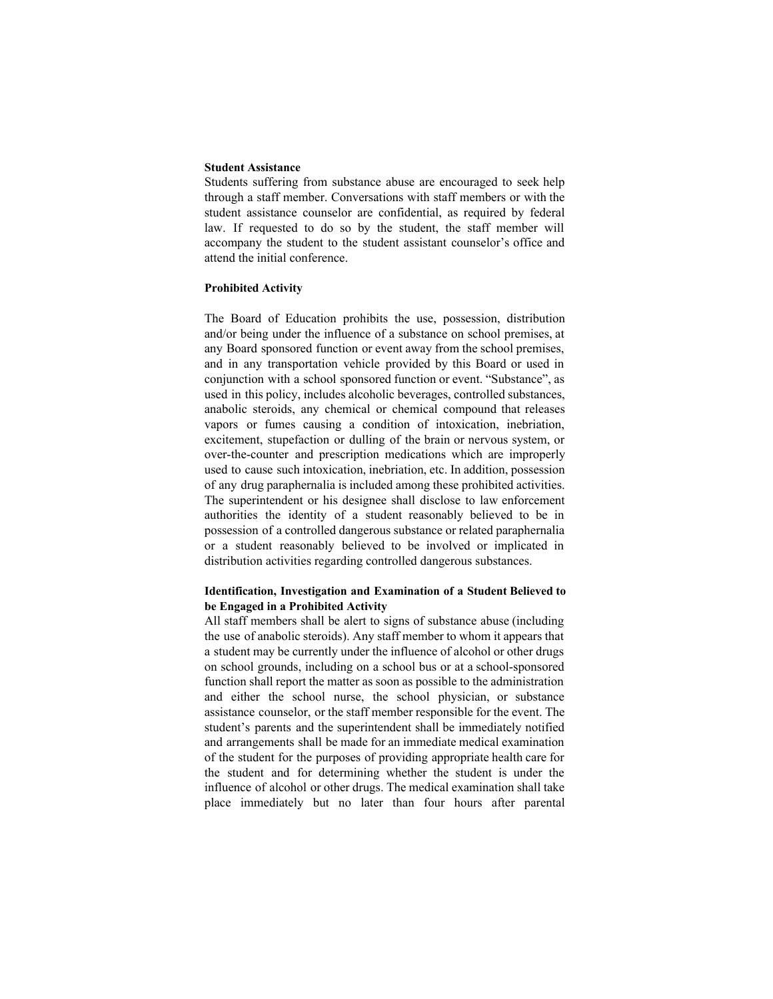#### **Student Assistance**

Students suffering from substance abuse are encouraged to seek help through a staff member. Conversations with staff members or with the student assistance counselor are confidential, as required by federal law. If requested to do so by the student, the staff member will accompany the student to the student assistant counselor's office and attend the initial conference.

#### **Prohibited Activity**

The Board of Education prohibits the use, possession, distribution and/or being under the influence of a substance on school premises, at any Board sponsored function or event away from the school premises, and in any transportation vehicle provided by this Board or used in conjunction with a school sponsored function or event. "Substance", as used in this policy, includes alcoholic beverages, controlled substances, anabolic steroids, any chemical or chemical compound that releases vapors or fumes causing a condition of intoxication, inebriation, excitement, stupefaction or dulling of the brain or nervous system, or over-the-counter and prescription medications which are improperly used to cause such intoxication, inebriation, etc. In addition, possession of any drug paraphernalia is included among these prohibited activities. The superintendent or his designee shall disclose to law enforcement authorities the identity of a student reasonably believed to be in possession of a controlled dangerous substance or related paraphernalia or a student reasonably believed to be involved or implicated in distribution activities regarding controlled dangerous substances.

# **Identification, Investigation and Examination of a Student Believed to be Engaged in a Prohibited Activity**

All staff members shall be alert to signs of substance abuse (including the use of anabolic steroids). Any staff member to whom it appears that a student may be currently under the influence of alcohol or other drugs on school grounds, including on a school bus or at a school-sponsored function shall report the matter as soon as possible to the administration and either the school nurse, the school physician, or substance assistance counselor, or the staff member responsible for the event. The student's parents and the superintendent shall be immediately notified and arrangements shall be made for an immediate medical examination of the student for the purposes of providing appropriate health care for the student and for determining whether the student is under the influence of alcohol or other drugs. The medical examination shall take place immediately but no later than four hours after parental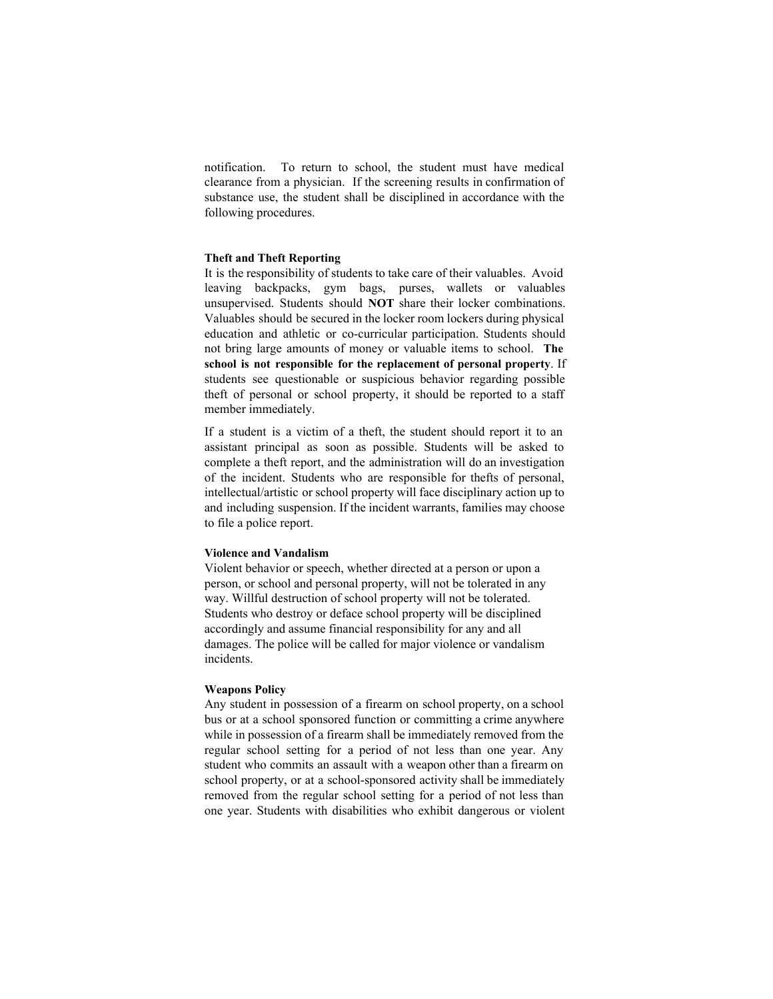notification. To return to school, the student must have medical clearance from a physician. If the screening results in confirmation of substance use, the student shall be disciplined in accordance with the following procedures.

# **Theft and Theft Reporting**

It is the responsibility of students to take care of their valuables. Avoid leaving backpacks, gym bags, purses, wallets or valuables unsupervised. Students should **NOT** share their locker combinations. Valuables should be secured in the locker room lockers during physical education and athletic or co-curricular participation. Students should not bring large amounts of money or valuable items to school. **The school is not responsible for the replacement of personal property**. If students see questionable or suspicious behavior regarding possible theft of personal or school property, it should be reported to a staff member immediately.

If a student is a victim of a theft, the student should report it to an assistant principal as soon as possible. Students will be asked to complete a theft report, and the administration will do an investigation of the incident. Students who are responsible for thefts of personal, intellectual/artistic or school property will face disciplinary action up to and including suspension. If the incident warrants, families may choose to file a police report.

#### **Violence and Vandalism**

Violent behavior or speech, whether directed at a person or upon a person, or school and personal property, will not be tolerated in any way. Willful destruction of school property will not be tolerated. Students who destroy or deface school property will be disciplined accordingly and assume financial responsibility for any and all damages. The police will be called for major violence or vandalism incidents.

#### **Weapons Policy**

Any student in possession of a firearm on school property, on a school bus or at a school sponsored function or committing a crime anywhere while in possession of a firearm shall be immediately removed from the regular school setting for a period of not less than one year. Any student who commits an assault with a weapon other than a firearm on school property, or at a school-sponsored activity shall be immediately removed from the regular school setting for a period of not less than one year. Students with disabilities who exhibit dangerous or violent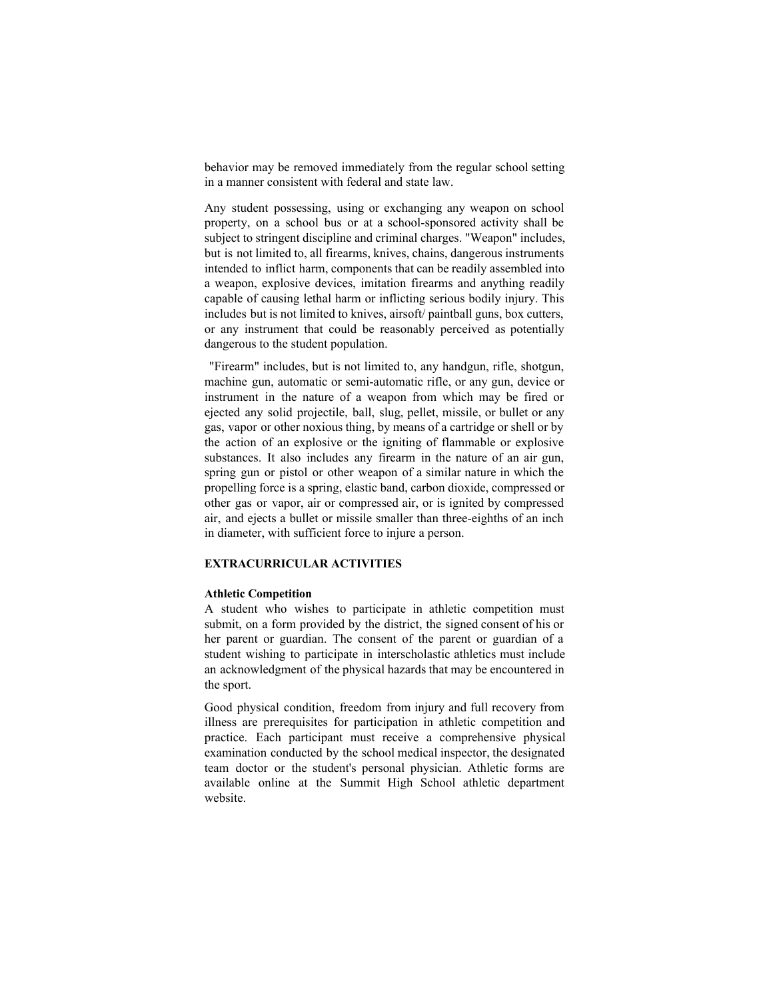behavior may be removed immediately from the regular school setting in a manner consistent with federal and state law.

Any student possessing, using or exchanging any weapon on school property, on a school bus or at a school-sponsored activity shall be subject to stringent discipline and criminal charges. "Weapon" includes, but is not limited to, all firearms, knives, chains, dangerous instruments intended to inflict harm, components that can be readily assembled into a weapon, explosive devices, imitation firearms and anything readily capable of causing lethal harm or inflicting serious bodily injury. This includes but is not limited to knives, airsoft/ paintball guns, box cutters, or any instrument that could be reasonably perceived as potentially dangerous to the student population.

"Firearm" includes, but is not limited to, any handgun, rifle, shotgun, machine gun, automatic or semi-automatic rifle, or any gun, device or instrument in the nature of a weapon from which may be fired or ejected any solid projectile, ball, slug, pellet, missile, or bullet or any gas, vapor or other noxious thing, by means of a cartridge or shell or by the action of an explosive or the igniting of flammable or explosive substances. It also includes any firearm in the nature of an air gun, spring gun or pistol or other weapon of a similar nature in which the propelling force is a spring, elastic band, carbon dioxide, compressed or other gas or vapor, air or compressed air, or is ignited by compressed air, and ejects a bullet or missile smaller than three-eighths of an inch in diameter, with sufficient force to injure a person.

#### **EXTRACURRICULAR ACTIVITIES**

#### **Athletic Competition**

A student who wishes to participate in athletic competition must submit, on a form provided by the district, the signed consent of his or her parent or guardian. The consent of the parent or guardian of a student wishing to participate in interscholastic athletics must include an acknowledgment of the physical hazards that may be encountered in the sport.

Good physical condition, freedom from injury and full recovery from illness are prerequisites for participation in athletic competition and practice. Each participant must receive a comprehensive physical examination conducted by the school medical inspector, the designated team doctor or the student's personal physician. Athletic forms are available online at the Summit High School athletic department website.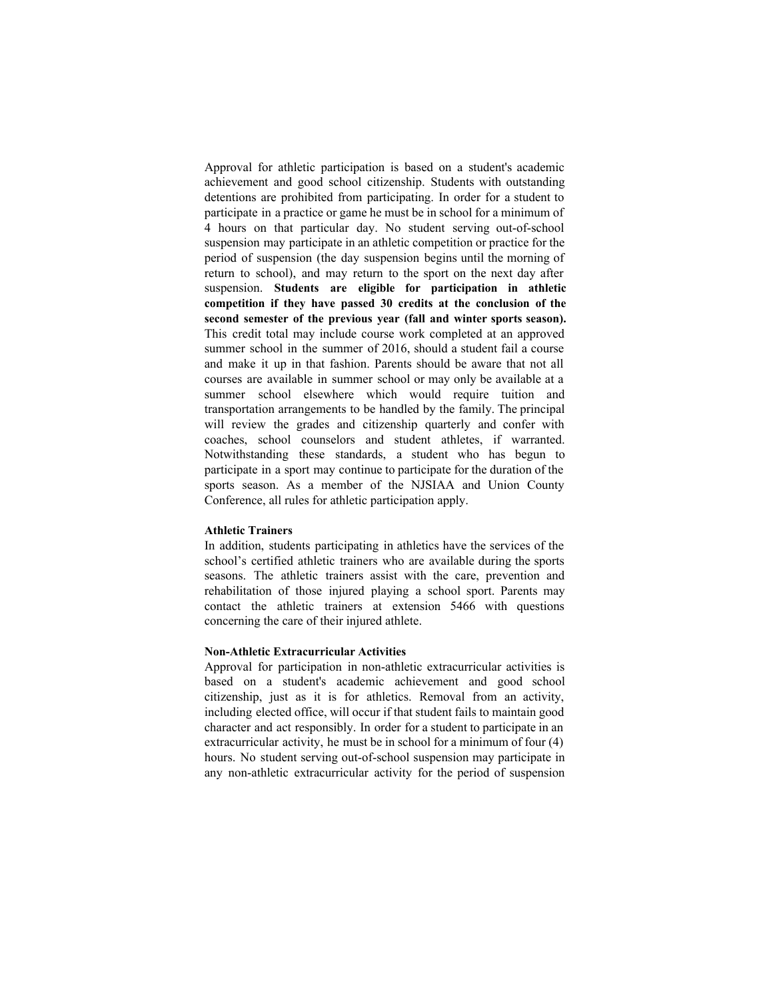Approval for athletic participation is based on a student's academic achievement and good school citizenship. Students with outstanding detentions are prohibited from participating. In order for a student to participate in a practice or game he must be in school for a minimum of 4 hours on that particular day. No student serving out-of-school suspension may participate in an athletic competition or practice for the period of suspension (the day suspension begins until the morning of return to school), and may return to the sport on the next day after suspension. **Students are eligible for participation in athletic competition if they have passed 30 credits at the conclusion of the second semester of the previous year (fall and winter sports season).** This credit total may include course work completed at an approved summer school in the summer of 2016, should a student fail a course and make it up in that fashion. Parents should be aware that not all courses are available in summer school or may only be available at a summer school elsewhere which would require tuition and transportation arrangements to be handled by the family. The principal will review the grades and citizenship quarterly and confer with coaches, school counselors and student athletes, if warranted. Notwithstanding these standards, a student who has begun to participate in a sport may continue to participate for the duration of the sports season. As a member of the NJSIAA and Union County Conference, all rules for athletic participation apply.

#### **Athletic Trainers**

In addition, students participating in athletics have the services of the school's certified athletic trainers who are available during the sports seasons. The athletic trainers assist with the care, prevention and rehabilitation of those injured playing a school sport. Parents may contact the athletic trainers at extension 5466 with questions concerning the care of their injured athlete.

# **NonAthletic Extracurricular Activities**

Approval for participation in non-athletic extracurricular activities is based on a student's academic achievement and good school citizenship, just as it is for athletics. Removal from an activity, including elected office, will occur if that student fails to maintain good character and act responsibly. In order for a student to participate in an extracurricular activity, he must be in school for a minimum of four (4) hours. No student serving out-of-school suspension may participate in any non-athletic extracurricular activity for the period of suspension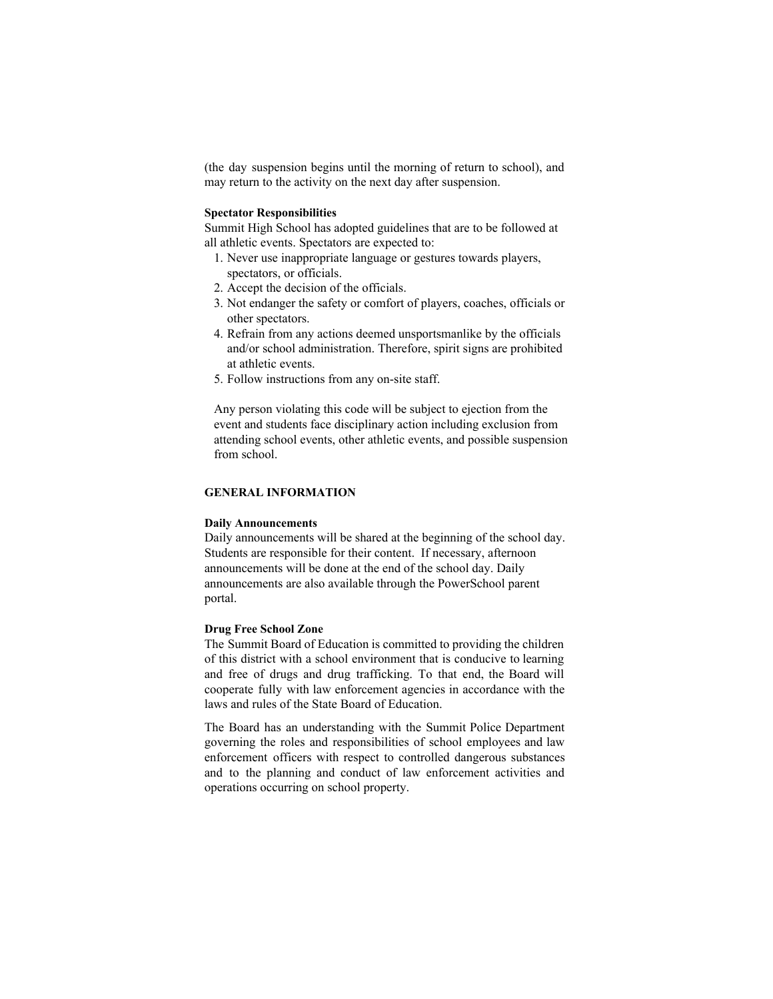(the day suspension begins until the morning of return to school), and may return to the activity on the next day after suspension.

#### **Spectator Responsibilities**

Summit High School has adopted guidelines that are to be followed at all athletic events. Spectators are expected to:

- 1. Never use inappropriate language or gestures towards players, spectators, or officials.
- 2. Accept the decision of the officials.
- 3. Not endanger the safety or comfort of players, coaches, officials or other spectators.
- 4. Refrain from any actions deemed unsportsmanlike by the officials and/or school administration. Therefore, spirit signs are prohibited at athletic events.
- 5. Follow instructions from any on-site staff.

Any person violating this code will be subject to ejection from the event and students face disciplinary action including exclusion from attending school events, other athletic events, and possible suspension from school.

# **GENERAL INFORMATION**

#### **Daily Announcements**

Daily announcements will be shared at the beginning of the school day. Students are responsible for their content. If necessary, afternoon announcements will be done at the end of the school day. Daily announcements are also available through the PowerSchool parent portal.

#### **Drug Free School Zone**

The Summit Board of Education is committed to providing the children of this district with a school environment that is conducive to learning and free of drugs and drug trafficking. To that end, the Board will cooperate fully with law enforcement agencies in accordance with the laws and rules of the State Board of Education.

The Board has an understanding with the Summit Police Department governing the roles and responsibilities of school employees and law enforcement officers with respect to controlled dangerous substances and to the planning and conduct of law enforcement activities and operations occurring on school property.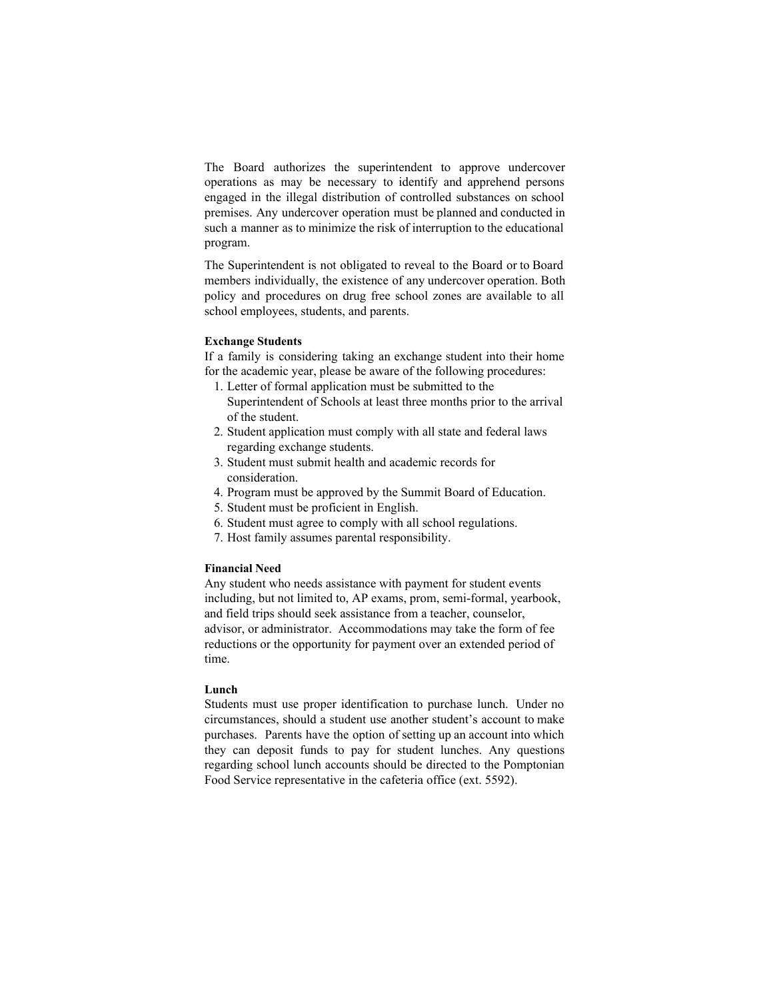The Board authorizes the superintendent to approve undercover operations as may be necessary to identify and apprehend persons engaged in the illegal distribution of controlled substances on school premises. Any undercover operation must be planned and conducted in such a manner as to minimize the risk of interruption to the educational program.

The Superintendent is not obligated to reveal to the Board or to Board members individually, the existence of any undercover operation. Both policy and procedures on drug free school zones are available to all school employees, students, and parents.

#### **Exchange Students**

If a family is considering taking an exchange student into their home for the academic year, please be aware of the following procedures:

- 1. Letter of formal application must be submitted to the Superintendent of Schools at least three months prior to the arrival of the student.
- 2. Student application must comply with all state and federal laws regarding exchange students.
- 3. Student must submit health and academic records for consideration.
- 4. Program must be approved by the Summit Board of Education.
- 5. Student must be proficient in English.
- 6. Student must agree to comply with all school regulations.
- 7. Host family assumes parental responsibility.

# **Financial Need**

Any student who needs assistance with payment for student events including, but not limited to, AP exams, prom, semi-formal, yearbook, and field trips should seek assistance from a teacher, counselor, advisor, or administrator. Accommodations may take the form of fee reductions or the opportunity for payment over an extended period of time.

# **Lunch**

Students must use proper identification to purchase lunch. Under no circumstances, should a student use another student's account to make purchases. Parents have the option of setting up an account into which they can deposit funds to pay for student lunches. Any questions regarding school lunch accounts should be directed to the Pomptonian Food Service representative in the cafeteria office (ext. 5592).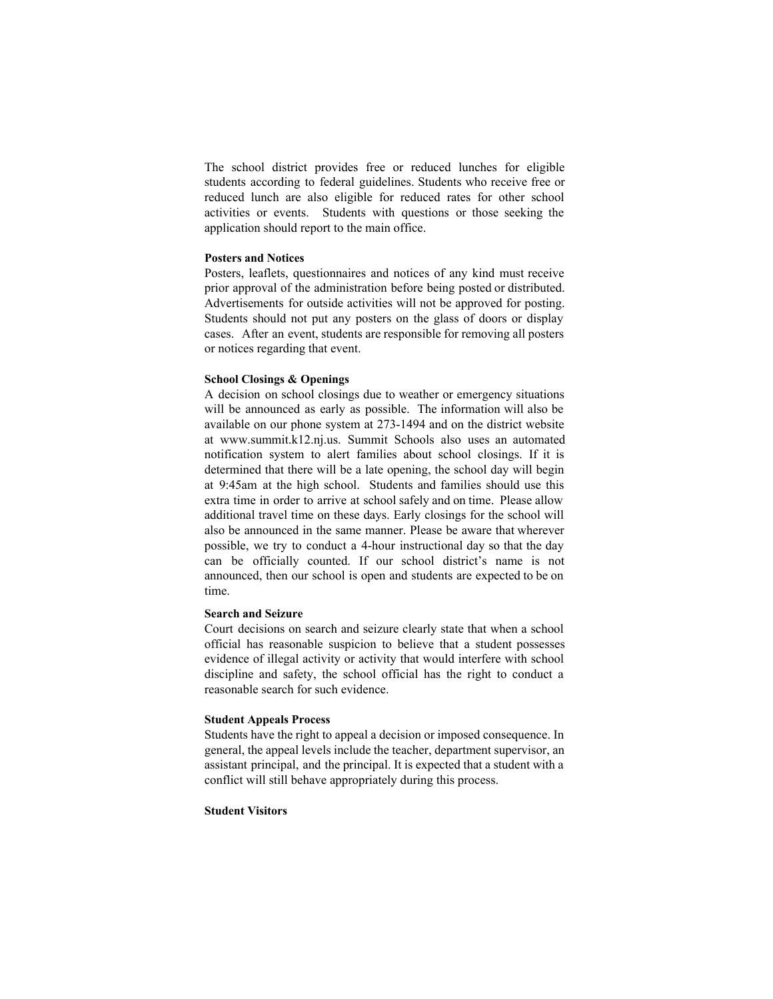The school district provides free or reduced lunches for eligible students according to federal guidelines. Students who receive free or reduced lunch are also eligible for reduced rates for other school activities or events. Students with questions or those seeking the application should report to the main office.

## **Posters and Notices**

Posters, leaflets, questionnaires and notices of any kind must receive prior approval of the administration before being posted or distributed. Advertisements for outside activities will not be approved for posting. Students should not put any posters on the glass of doors or display cases. After an event, students are responsible for removing all posters or notices regarding that event.

#### **School Closings & Openings**

A decision on school closings due to weather or emergency situations will be announced as early as possible. The information will also be available on our phone system at 273-1494 and on the district website at www.summit.k12.nj.us. Summit Schools also uses an automated notification system to alert families about school closings. If it is determined that there will be a late opening, the school day will begin at 9:45am at the high school. Students and families should use this extra time in order to arrive at school safely and on time. Please allow additional travel time on these days. Early closings for the school will also be announced in the same manner. Please be aware that wherever possible, we try to conduct a 4hour instructional day so that the day can be officially counted. If our school district's name is not announced, then our school is open and students are expected to be on time.

# **Search and Seizure**

Court decisions on search and seizure clearly state that when a school official has reasonable suspicion to believe that a student possesses evidence of illegal activity or activity that would interfere with school discipline and safety, the school official has the right to conduct a reasonable search for such evidence.

#### **Student Appeals Process**

Students have the right to appeal a decision or imposed consequence. In general, the appeal levels include the teacher, department supervisor, an assistant principal, and the principal. It is expected that a student with a conflict will still behave appropriately during this process.

# **Student Visitors**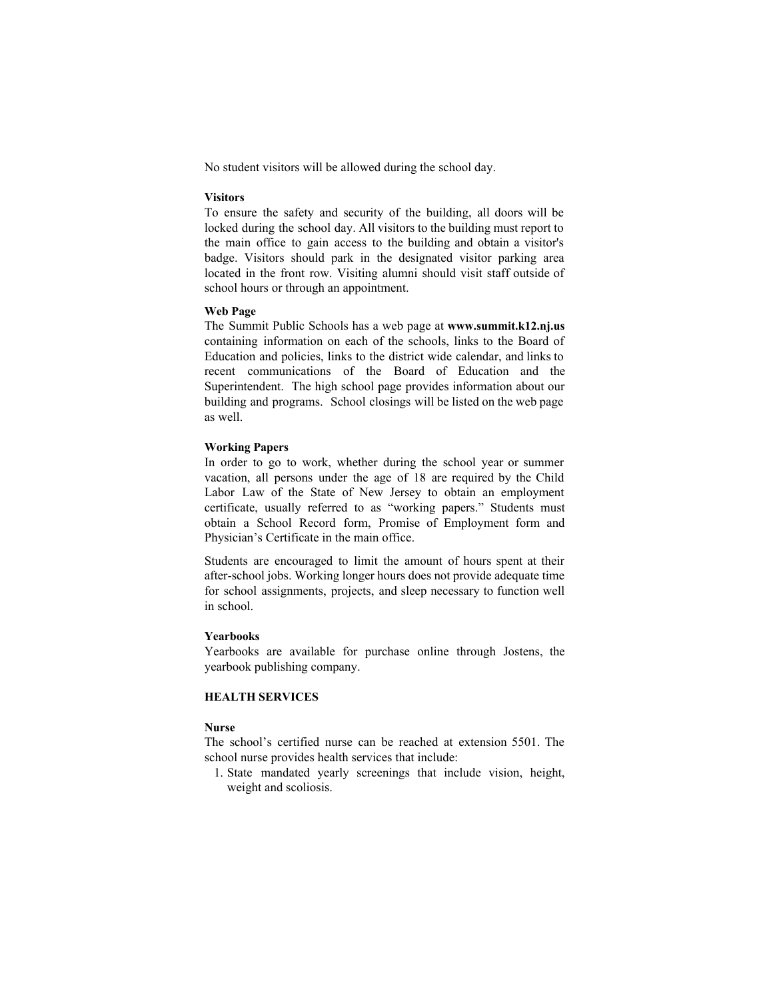No student visitors will be allowed during the school day.

#### **Visitors**

To ensure the safety and security of the building, all doors will be locked during the school day. All visitors to the building must report to the main office to gain access to the building and obtain a visitor's badge. Visitors should park in the designated visitor parking area located in the front row. Visiting alumni should visit staff outside of school hours or through an appointment.

# **Web Page**

The Summit Public Schools has a web page at **www.summit.k12.nj.us** containing information on each of the schools, links to the Board of Education and policies, links to the district wide calendar, and links to recent communications of the Board of Education and the Superintendent. The high school page provides information about our building and programs. School closings will be listed on the web page as well.

#### **Working Papers**

In order to go to work, whether during the school year or summer vacation, all persons under the age of 18 are required by the Child Labor Law of the State of New Jersey to obtain an employment certificate, usually referred to as "working papers." Students must obtain a School Record form, Promise of Employment form and Physician's Certificate in the main office.

Students are encouraged to limit the amount of hours spent at their after-school jobs. Working longer hours does not provide adequate time for school assignments, projects, and sleep necessary to function well in school.

# **Yearbooks**

Yearbooks are available for purchase online through Jostens, the yearbook publishing company.

# **HEALTH SERVICES**

# **Nurse**

The school's certified nurse can be reached at extension 5501. The school nurse provides health services that include:

1. State mandated yearly screenings that include vision, height, weight and scoliosis.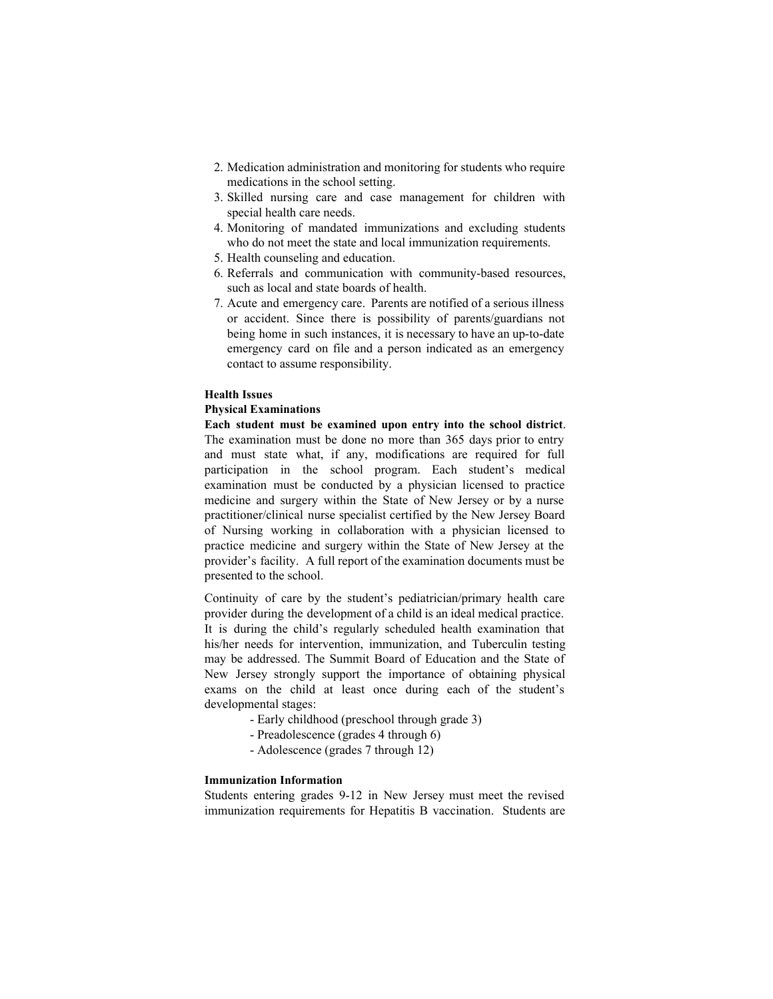- 2. Medication administration and monitoring for students who require medications in the school setting.
- 3. Skilled nursing care and case management for children with special health care needs.
- 4. Monitoring of mandated immunizations and excluding students who do not meet the state and local immunization requirements.
- 5. Health counseling and education.
- 6. Referrals and communication with community-based resources, such as local and state boards of health.
- 7. Acute and emergency care. Parents are notified of a serious illness or accident. Since there is possibility of parents/guardians not being home in such instances, it is necessary to have an up-to-date emergency card on file and a person indicated as an emergency contact to assume responsibility.

# **Health Issues**

#### **Physical Examinations**

**Each student must be examined upon entry into the school district**. The examination must be done no more than 365 days prior to entry and must state what, if any, modifications are required for full participation in the school program. Each student's medical examination must be conducted by a physician licensed to practice medicine and surgery within the State of New Jersey or by a nurse practitioner/clinical nurse specialist certified by the New Jersey Board of Nursing working in collaboration with a physician licensed to practice medicine and surgery within the State of New Jersey at the provider's facility. A full report of the examination documents must be presented to the school.

Continuity of care by the student's pediatrician/primary health care provider during the development of a child is an ideal medical practice. It is during the child's regularly scheduled health examination that his/her needs for intervention, immunization, and Tuberculin testing may be addressed. The Summit Board of Education and the State of New Jersey strongly support the importance of obtaining physical exams on the child at least once during each of the student's developmental stages:

- Early childhood (preschool through grade 3)
- Preadolescence (grades 4 through 6)
- Adolescence (grades 7 through 12)

# **Immunization Information**

Students entering grades 9-12 in New Jersey must meet the revised immunization requirements for Hepatitis B vaccination. Students are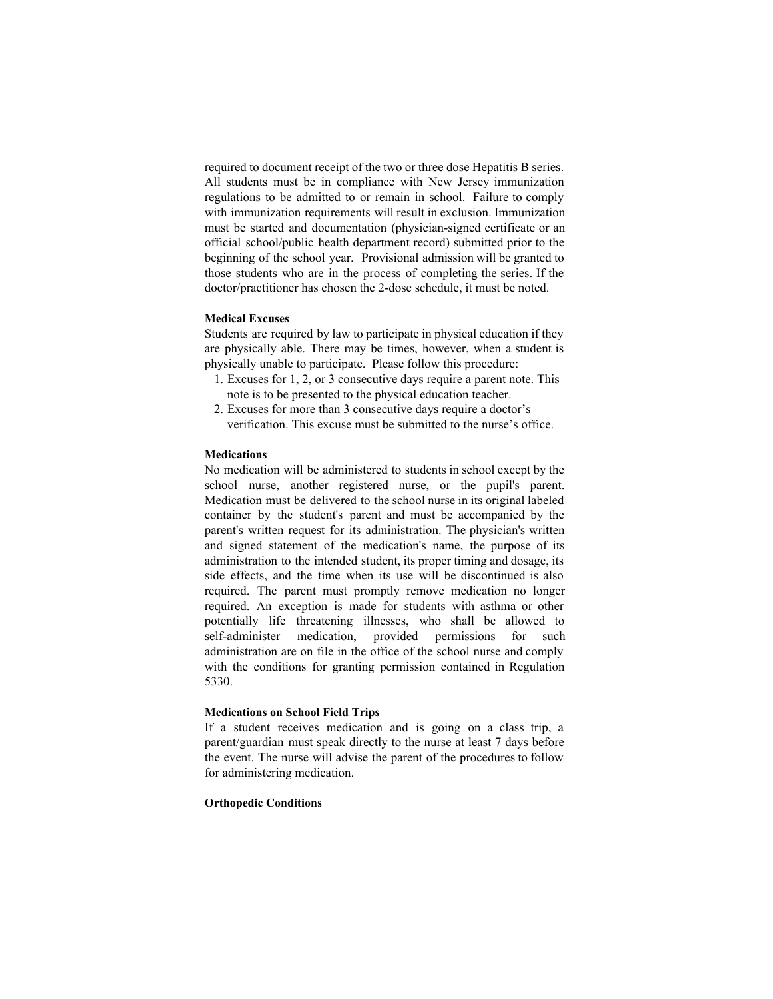required to document receipt of the two or three dose Hepatitis B series. All students must be in compliance with New Jersey immunization regulations to be admitted to or remain in school. Failure to comply with immunization requirements will result in exclusion. Immunization must be started and documentation (physician-signed certificate or an official school/public health department record) submitted prior to the beginning of the school year. Provisional admission will be granted to those students who are in the process of completing the series. If the doctor/practitioner has chosen the 2-dose schedule, it must be noted.

#### **Medical Excuses**

Students are required by law to participate in physical education if they are physically able. There may be times, however, when a student is physically unable to participate. Please follow this procedure:

- 1. Excuses for 1, 2, or 3 consecutive days require a parent note. This note is to be presented to the physical education teacher.
- 2. Excuses for more than 3 consecutive days require a doctor's verification. This excuse must be submitted to the nurse's office.

#### **Medications**

No medication will be administered to students in school except by the school nurse, another registered nurse, or the pupil's parent. Medication must be delivered to the school nurse in its original labeled container by the student's parent and must be accompanied by the parent's written request for its administration. The physician's written and signed statement of the medication's name, the purpose of its administration to the intended student, its proper timing and dosage, its side effects, and the time when its use will be discontinued is also required. The parent must promptly remove medication no longer required. An exception is made for students with asthma or other potentially life threatening illnesses, who shall be allowed to self-administer medication, provided permissions for such administration are on file in the office of the school nurse and comply with the conditions for granting permission contained in Regulation 5330.

#### **Medications on School Field Trips**

If a student receives medication and is going on a class trip, a parent/guardian must speak directly to the nurse at least 7 days before the event. The nurse will advise the parent of the procedures to follow for administering medication.

### **Orthopedic Conditions**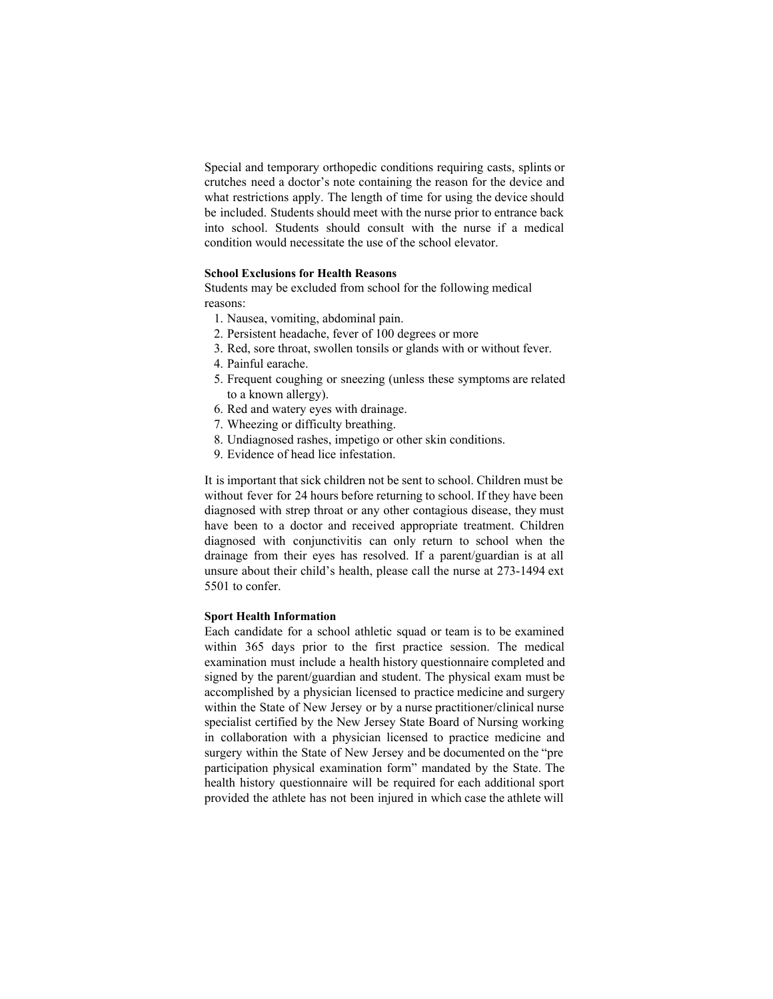Special and temporary orthopedic conditions requiring casts, splints or crutches need a doctor's note containing the reason for the device and what restrictions apply. The length of time for using the device should be included. Students should meet with the nurse prior to entrance back into school. Students should consult with the nurse if a medical condition would necessitate the use of the school elevator.

# **School Exclusions for Health Reasons**

Students may be excluded from school for the following medical reasons:

- 1. Nausea, vomiting, abdominal pain.
- 2. Persistent headache, fever of 100 degrees or more
- 3. Red, sore throat, swollen tonsils or glands with or without fever.
- 4. Painful earache.
- 5. Frequent coughing or sneezing (unless these symptoms are related to a known allergy).
- 6. Red and watery eyes with drainage.
- 7. Wheezing or difficulty breathing.
- 8. Undiagnosed rashes, impetigo or other skin conditions.
- 9. Evidence of head lice infestation.

It is important that sick children not be sent to school. Children must be without fever for 24 hours before returning to school. If they have been diagnosed with strep throat or any other contagious disease, they must have been to a doctor and received appropriate treatment. Children diagnosed with conjunctivitis can only return to school when the drainage from their eyes has resolved. If a parent/guardian is at all unsure about their child's health, please call the nurse at 273-1494 ext 5501 to confer.

# **Sport Health Information**

Each candidate for a school athletic squad or team is to be examined within 365 days prior to the first practice session. The medical examination must include a health history questionnaire completed and signed by the parent/guardian and student. The physical exam must be accomplished by a physician licensed to practice medicine and surgery within the State of New Jersey or by a nurse practitioner/clinical nurse specialist certified by the New Jersey State Board of Nursing working in collaboration with a physician licensed to practice medicine and surgery within the State of New Jersey and be documented on the "pre participation physical examination form" mandated by the State. The health history questionnaire will be required for each additional sport provided the athlete has not been injured in which case the athlete will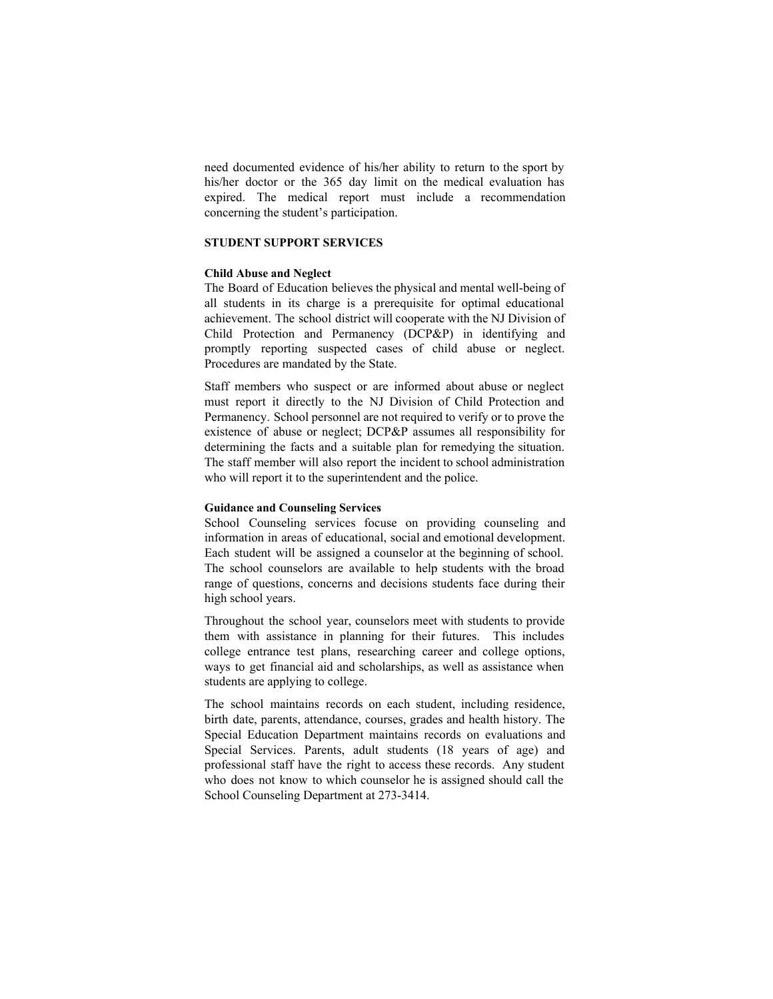need documented evidence of his/her ability to return to the sport by his/her doctor or the 365 day limit on the medical evaluation has expired. The medical report must include a recommendation concerning the student's participation.

# **STUDENT SUPPORT SERVICES**

#### **Child Abuse and Neglect**

The Board of Education believes the physical and mental well-being of all students in its charge is a prerequisite for optimal educational achievement. The school district will cooperate with the NJ Division of Child Protection and Permanency (DCP&P) in identifying and promptly reporting suspected cases of child abuse or neglect. Procedures are mandated by the State.

Staff members who suspect or are informed about abuse or neglect must report it directly to the NJ Division of Child Protection and Permanency. School personnel are not required to verify or to prove the existence of abuse or neglect; DCP&P assumes all responsibility for determining the facts and a suitable plan for remedying the situation. The staff member will also report the incident to school administration who will report it to the superintendent and the police.

#### **Guidance and Counseling Services**

School Counseling services focuse on providing counseling and information in areas of educational, social and emotional development. Each student will be assigned a counselor at the beginning of school. The school counselors are available to help students with the broad range of questions, concerns and decisions students face during their high school years.

Throughout the school year, counselors meet with students to provide them with assistance in planning for their futures. This includes college entrance test plans, researching career and college options, ways to get financial aid and scholarships, as well as assistance when students are applying to college.

The school maintains records on each student, including residence, birth date, parents, attendance, courses, grades and health history. The Special Education Department maintains records on evaluations and Special Services. Parents, adult students (18 years of age) and professional staff have the right to access these records. Any student who does not know to which counselor he is assigned should call the School Counseling Department at 273-3414.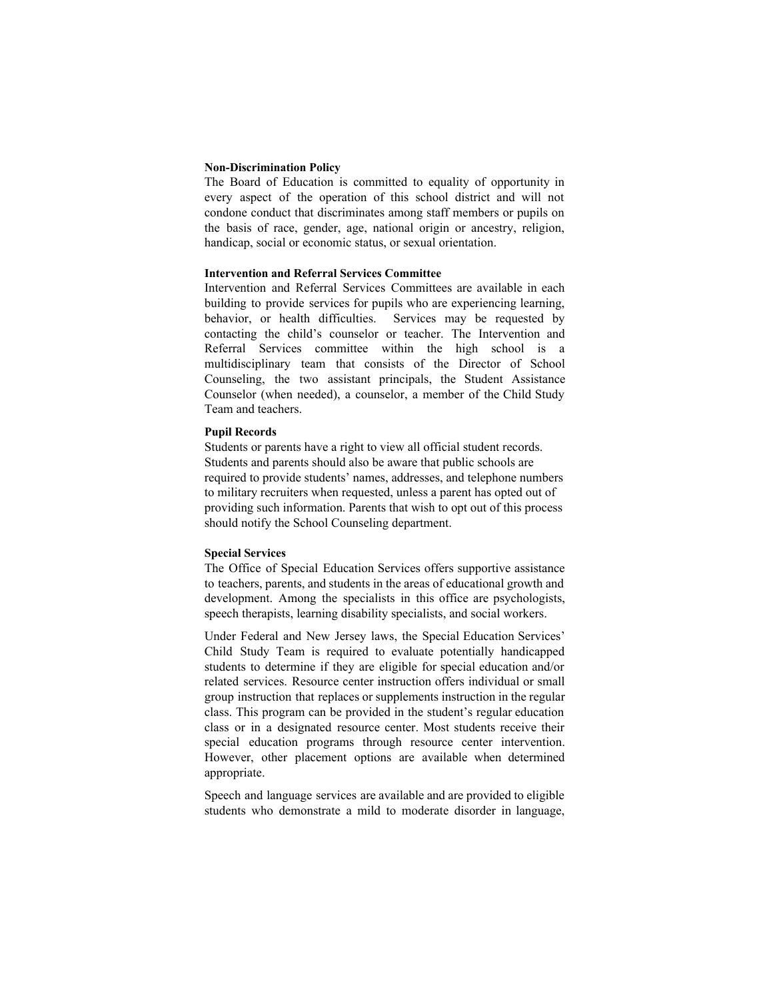#### **Non-Discrimination Policy**

The Board of Education is committed to equality of opportunity in every aspect of the operation of this school district and will not condone conduct that discriminates among staff members or pupils on the basis of race, gender, age, national origin or ancestry, religion, handicap, social or economic status, or sexual orientation.

#### **Intervention and Referral Services Committee**

Intervention and Referral Services Committees are available in each building to provide services for pupils who are experiencing learning, behavior, or health difficulties. Services may be requested by contacting the child's counselor or teacher. The Intervention and Referral Services committee within the high school is a multidisciplinary team that consists of the Director of School Counseling, the two assistant principals, the Student Assistance Counselor (when needed), a counselor, a member of the Child Study Team and teachers.

#### **Pupil Records**

Students or parents have a right to view all official student records. Students and parents should also be aware that public schools are required to provide students' names, addresses, and telephone numbers to military recruiters when requested, unless a parent has opted out of providing such information. Parents that wish to opt out of this process should notify the School Counseling department.

#### **Special Services**

The Office of Special Education Services offers supportive assistance to teachers, parents, and students in the areas of educational growth and development. Among the specialists in this office are psychologists, speech therapists, learning disability specialists, and social workers.

Under Federal and New Jersey laws, the Special Education Services' Child Study Team is required to evaluate potentially handicapped students to determine if they are eligible for special education and/or related services. Resource center instruction offers individual or small group instruction that replaces or supplements instruction in the regular class. This program can be provided in the student's regular education class or in a designated resource center. Most students receive their special education programs through resource center intervention. However, other placement options are available when determined appropriate.

Speech and language services are available and are provided to eligible students who demonstrate a mild to moderate disorder in language,